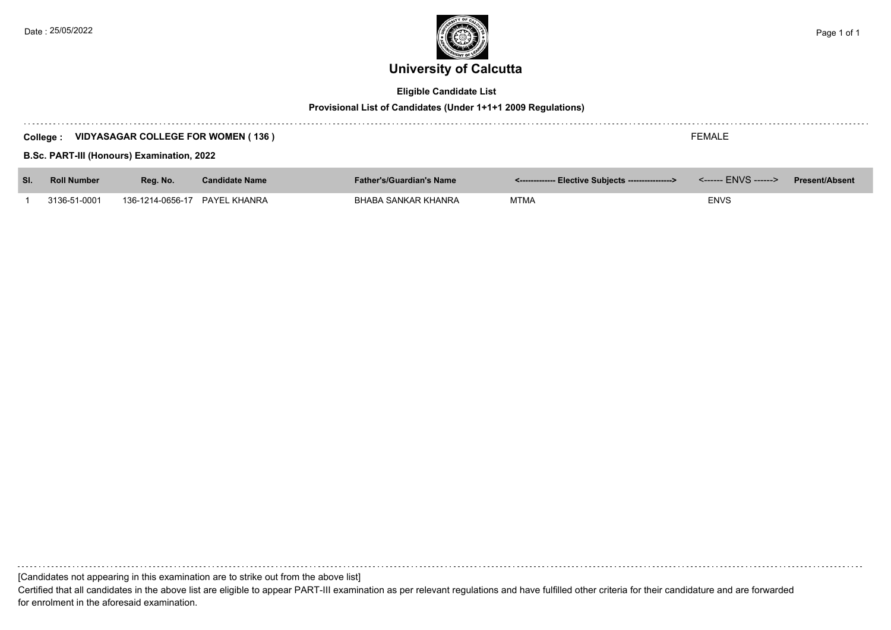

# **Eligible Candidate List**

## **Provisional List of Candidates (Under 1+1+1 2009 Regulations)**

|     | <b>FEMALE</b><br><b>VIDYASAGAR COLLEGE FOR WOMEN (136)</b><br>College: |                               |                       |                                 |                                                     |                       |  |  |  |  |
|-----|------------------------------------------------------------------------|-------------------------------|-----------------------|---------------------------------|-----------------------------------------------------|-----------------------|--|--|--|--|
|     | <b>B.Sc. PART-III (Honours) Examination, 2022</b>                      |                               |                       |                                 |                                                     |                       |  |  |  |  |
| SI. | <b>Roll Number</b>                                                     | Reg. No.                      | <b>Candidate Name</b> | <b>Father's/Guardian's Name</b> | <-------------- Elective Subjects ----------------> | <b>Present/Absent</b> |  |  |  |  |
|     | 3136-51-0001                                                           | 136-1214-0656-17 PAYEL KHANRA |                       | BHABA SANKAR KHANRA             | MTMA                                                | <b>ENVS</b>           |  |  |  |  |

[Candidates not appearing in this examination are to strike out from the above list]

Certified that all candidates in the above list are eligible to appear PART-III examination as per relevant regulations and have fulfilled other criteria for their candidature and are forwarded for enrolment in the aforesaid examination.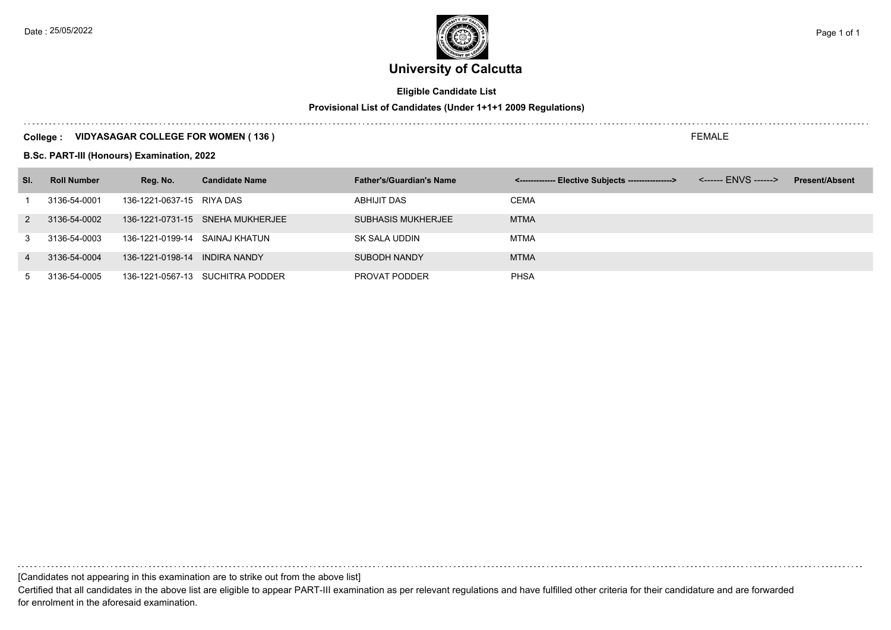# **University of Calcutta**

# **Eligible Candidate List**

# **Provisional List of Candidates (Under 1+1+1 2009 Regulations)**

## **College : VIDYASAGAR COLLEGE FOR WOMEN ( 136 )**

**B.Sc. PART-III (Honours) Examination, 2022**

| SI.            | <b>Roll Number</b> | Reg. No.                  | <b>Candidate Name</b>            | <b>Father's/Guardian's Name</b> | <------------- Elective Subjects ---------------> | <b>Present/Absent</b> |
|----------------|--------------------|---------------------------|----------------------------------|---------------------------------|---------------------------------------------------|-----------------------|
|                | 3136-54-0001       | 136-1221-0637-15 RIYA DAS |                                  | ABHIJIT DAS                     | <b>CEMA</b>                                       |                       |
| 2              | 3136-54-0002       |                           | 136-1221-0731-15 SNEHA MUKHERJEE | <b>SUBHASIS MUKHERJEE</b>       | <b>MTMA</b>                                       |                       |
| 3              | 3136-54-0003       | 136-1221-0199-14          | SAINAJ KHATUN                    | SK SALA UDDIN                   | MTMA                                              |                       |
| $\overline{4}$ | 3136-54-0004       | 136-1221-0198-14          | <b>INDIRA NANDY</b>              | <b>SUBODH NANDY</b>             | <b>MTMA</b>                                       |                       |
| $5^{\circ}$    | 3136-54-0005       |                           | 136-1221-0567-13 SUCHITRA PODDER | PROVAT PODDER                   | <b>PHSA</b>                                       |                       |

[Candidates not appearing in this examination are to strike out from the above list]

Certified that all candidates in the above list are eligible to appear PART-III examination as per relevant regulations and have fulfilled other criteria for their candidature and are forwarded for enrolment in the aforesaid examination.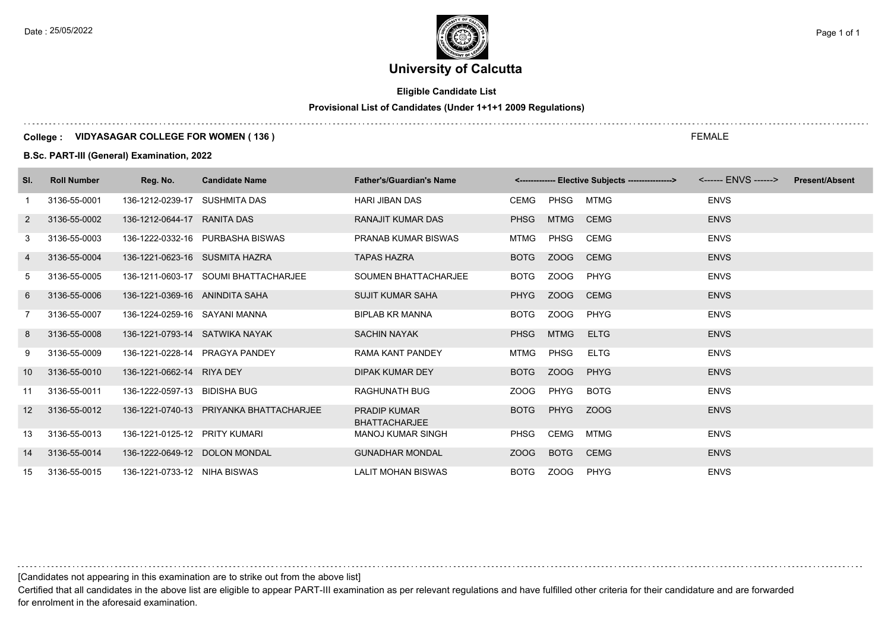# **University of Calcutta**

# **Eligible Candidate List**

# **Provisional List of Candidates (Under 1+1+1 2009 Regulations)**

#### **College : VIDYASAGAR COLLEGE FOR WOMEN ( 136 )**

**B.Sc. PART-III (General) Examination, 2022**

| SI.             | <b>Roll Number</b> | Reg. No.                       | <b>Candidate Name</b>                   | <b>Father's/Guardian's Name</b>             |             |             | <-------------- Elective Subjects ----------------> |             | <b>Present/Absent</b> |
|-----------------|--------------------|--------------------------------|-----------------------------------------|---------------------------------------------|-------------|-------------|-----------------------------------------------------|-------------|-----------------------|
| -1              | 3136-55-0001       | 136-1212-0239-17               | <b>SUSHMITA DAS</b>                     | <b>HARI JIBAN DAS</b>                       | <b>CEMG</b> | PHSG        | <b>MTMG</b>                                         | <b>ENVS</b> |                       |
| 2               | 3136-55-0002       | 136-1212-0644-17 RANITA DAS    |                                         | <b>RANAJIT KUMAR DAS</b>                    | <b>PHSG</b> | <b>MTMG</b> | <b>CEMG</b>                                         | <b>ENVS</b> |                       |
| 3               | 3136-55-0003       |                                | 136-1222-0332-16 PURBASHA BISWAS        | <b>PRANAB KUMAR BISWAS</b>                  | <b>MTMG</b> | PHSG        | CEMG                                                | <b>ENVS</b> |                       |
| 4               | 3136-55-0004       | 136-1221-0623-16 SUSMITA HAZRA |                                         | <b>TAPAS HAZRA</b>                          | <b>BOTG</b> | ZOOG        | <b>CEMG</b>                                         | <b>ENVS</b> |                       |
| 5               | 3136-55-0005       |                                | 136-1211-0603-17 SOUMI BHATTACHARJEE    | <b>SOUMEN BHATTACHARJEE</b>                 | <b>BOTG</b> | ZOOG        | PHYG                                                | <b>ENVS</b> |                       |
| 6               | 3136-55-0006       | 136-1221-0369-16 ANINDITA SAHA |                                         | <b>SUJIT KUMAR SAHA</b>                     | <b>PHYG</b> | ZOOG        | <b>CEMG</b>                                         | <b>ENVS</b> |                       |
| $\overline{7}$  | 3136-55-0007       | 136-1224-0259-16 SAYANI MANNA  |                                         | <b>BIPLAB KR MANNA</b>                      | <b>BOTG</b> | ZOOG        | PHYG                                                | <b>ENVS</b> |                       |
| 8               | 3136-55-0008       | 136-1221-0793-14 SATWIKA NAYAK |                                         | <b>SACHIN NAYAK</b>                         | <b>PHSG</b> | <b>MTMG</b> | <b>ELTG</b>                                         | <b>ENVS</b> |                       |
| 9               | 3136-55-0009       |                                | 136-1221-0228-14 PRAGYA PANDEY          | RAMA KANT PANDEY                            | MTMG        | PHSG        | <b>ELTG</b>                                         | <b>ENVS</b> |                       |
| 10              | 3136-55-0010       | 136-1221-0662-14 RIYA DEY      |                                         | DIPAK KUMAR DEY                             | <b>BOTG</b> | ZOOG        | PHYG                                                | <b>ENVS</b> |                       |
| 11              | 3136-55-0011       | 136-1222-0597-13 BIDISHA BUG   |                                         | <b>RAGHUNATH BUG</b>                        | ZOOG        | PHYG        | <b>BOTG</b>                                         | <b>ENVS</b> |                       |
| 12 <sup>2</sup> | 3136-55-0012       |                                | 136-1221-0740-13 PRIYANKA BHATTACHARJEE | <b>PRADIP KUMAR</b><br><b>BHATTACHARJEE</b> | <b>BOTG</b> | PHYG        | ZOOG                                                | <b>ENVS</b> |                       |
| 13              | 3136-55-0013       | 136-1221-0125-12 PRITY KUMARI  |                                         | MANOJ KUMAR SINGH                           | <b>PHSG</b> | CEMG        | MTMG                                                | <b>ENVS</b> |                       |
| 14              | 3136-55-0014       | 136-1222-0649-12 DOLON MONDAL  |                                         | <b>GUNADHAR MONDAL</b>                      | ZOOG        | <b>BOTG</b> | <b>CEMG</b>                                         | <b>ENVS</b> |                       |
| 15              | 3136-55-0015       | 136-1221-0733-12 NIHA BISWAS   |                                         | <b>LALIT MOHAN BISWAS</b>                   | <b>BOTG</b> | ZOOG        | PHYG                                                | <b>ENVS</b> |                       |

[Candidates not appearing in this examination are to strike out from the above list]

Certified that all candidates in the above list are eligible to appear PART-III examination as per relevant regulations and have fulfilled other criteria for their candidature and are forwarded for enrolment in the aforesaid examination.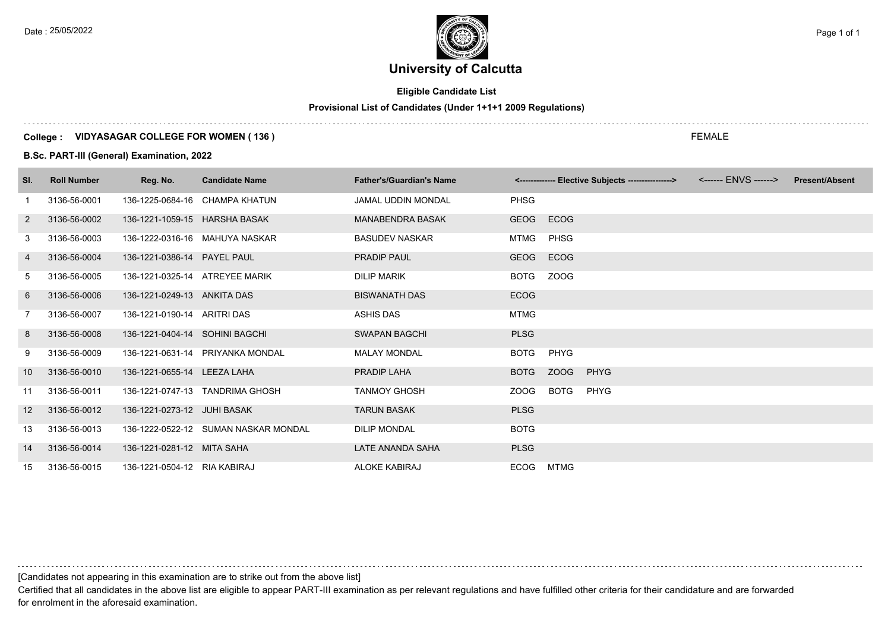# **University of Calcutta**

# **Eligible Candidate List**

# **Provisional List of Candidates (Under 1+1+1 2009 Regulations)**

#### **College : VIDYASAGAR COLLEGE FOR WOMEN ( 136 )**

#### **B.Sc. PART-III (General) Examination, 2022**

| SI.               | <b>Roll Number</b> | Reg. No.                       | <b>Candidate Name</b>                | <b>Father's/Guardian's Name</b> |             | <------------- Elective Subjects ----------------> <------ ENVS ------> | <b>Present/Absent</b> |
|-------------------|--------------------|--------------------------------|--------------------------------------|---------------------------------|-------------|-------------------------------------------------------------------------|-----------------------|
| 1                 | 3136-56-0001       |                                | 136-1225-0684-16 CHAMPA KHATUN       | <b>JAMAL UDDIN MONDAL</b>       | <b>PHSG</b> |                                                                         |                       |
| $\overline{2}$    | 3136-56-0002       | 136-1221-1059-15 HARSHA BASAK  |                                      | <b>MANABENDRA BASAK</b>         | <b>GEOG</b> | ECOG                                                                    |                       |
| 3                 | 3136-56-0003       |                                | 136-1222-0316-16 MAHUYA NASKAR       | <b>BASUDEV NASKAR</b>           | MTMG        | PHSG                                                                    |                       |
| 4                 | 3136-56-0004       | 136-1221-0386-14 PAYEL PAUL    |                                      | <b>PRADIP PAUL</b>              | <b>GEOG</b> | ECOG                                                                    |                       |
| 5                 | 3136-56-0005       | 136-1221-0325-14 ATREYEE MARIK |                                      | <b>DILIP MARIK</b>              | <b>BOTG</b> | ZOOG                                                                    |                       |
| 6                 | 3136-56-0006       | 136-1221-0249-13 ANKITA DAS    |                                      | <b>BISWANATH DAS</b>            | <b>ECOG</b> |                                                                         |                       |
| 7                 | 3136-56-0007       | 136-1221-0190-14 ARITRI DAS    |                                      | ASHIS DAS                       | <b>MTMG</b> |                                                                         |                       |
| 8                 | 3136-56-0008       | 136-1221-0404-14 SOHINI BAGCHI |                                      | <b>SWAPAN BAGCHI</b>            | <b>PLSG</b> |                                                                         |                       |
| 9                 | 3136-56-0009       |                                | 136-1221-0631-14 PRIYANKA MONDAL     | <b>MALAY MONDAL</b>             | <b>BOTG</b> | PHYG                                                                    |                       |
| 10                | 3136-56-0010       | 136-1221-0655-14 LEEZA LAHA    |                                      | <b>PRADIP LAHA</b>              | <b>BOTG</b> | <b>ZOOG</b><br><b>PHYG</b>                                              |                       |
| 11                | 3136-56-0011       |                                | 136-1221-0747-13 TANDRIMA GHOSH      | <b>TANMOY GHOSH</b>             | ZOOG        | <b>BOTG</b><br><b>PHYG</b>                                              |                       |
| $12 \overline{ }$ | 3136-56-0012       | 136-1221-0273-12 JUHI BASAK    |                                      | <b>TARUN BASAK</b>              | <b>PLSG</b> |                                                                         |                       |
| 13                | 3136-56-0013       |                                | 136-1222-0522-12 SUMAN NASKAR MONDAL | <b>DILIP MONDAL</b>             | <b>BOTG</b> |                                                                         |                       |
| 14                | 3136-56-0014       | 136-1221-0281-12 MITA SAHA     |                                      | LATE ANANDA SAHA                | <b>PLSG</b> |                                                                         |                       |
| 15                | 3136-56-0015       | 136-1221-0504-12 RIA KABIRAJ   |                                      | <b>ALOKE KABIRAJ</b>            | ECOG        | MTMG                                                                    |                       |

[Candidates not appearing in this examination are to strike out from the above list]

Certified that all candidates in the above list are eligible to appear PART-III examination as per relevant regulations and have fulfilled other criteria for their candidature and are forwarded for enrolment in the aforesaid examination.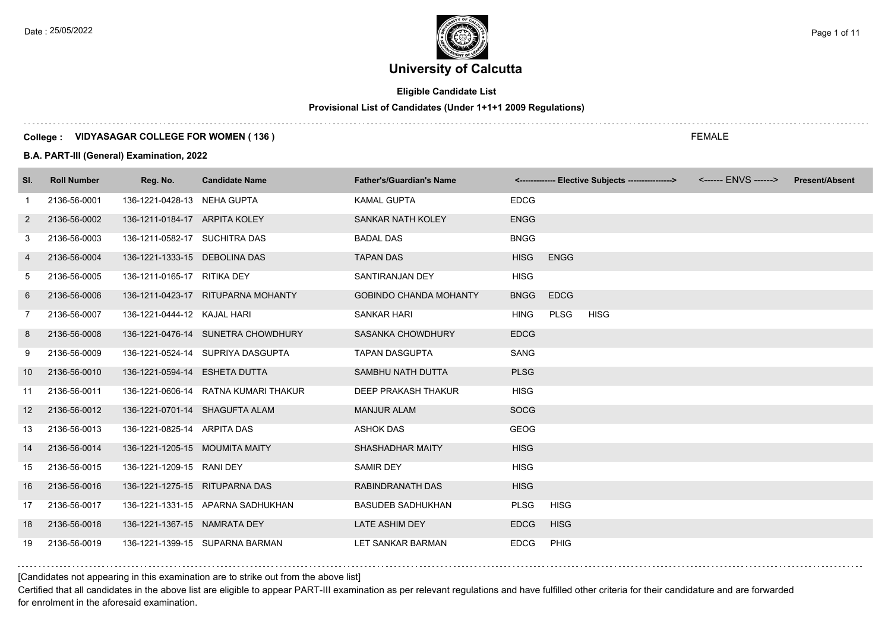# **Eligible Candidate List**

**Provisional List of Candidates (Under 1+1+1 2009 Regulations)**

#### **College : VIDYASAGAR COLLEGE FOR WOMEN ( 136 )**

#### **B.A. PART-III (General) Examination, 2022**

| SI.            | <b>Roll Number</b> | Reg. No.                       | <b>Candidate Name</b>                | <b>Father's/Guardian's Name</b> |             | <------------- Elective Subjects ----------------> | <------ ENVS ------> | <b>Present/Absent</b> |
|----------------|--------------------|--------------------------------|--------------------------------------|---------------------------------|-------------|----------------------------------------------------|----------------------|-----------------------|
| 1              | 2136-56-0001       | 136-1221-0428-13 NEHA GUPTA    |                                      | <b>KAMAL GUPTA</b>              | <b>EDCG</b> |                                                    |                      |                       |
| $\overline{2}$ | 2136-56-0002       | 136-1211-0184-17 ARPITA KOLEY  |                                      | SANKAR NATH KOLEY               | <b>ENGG</b> |                                                    |                      |                       |
| 3              | 2136-56-0003       | 136-1211-0582-17 SUCHITRA DAS  |                                      | <b>BADAL DAS</b>                | <b>BNGG</b> |                                                    |                      |                       |
| 4              | 2136-56-0004       | 136-1221-1333-15 DEBOLINA DAS  |                                      | <b>TAPAN DAS</b>                | <b>HISG</b> | <b>ENGG</b>                                        |                      |                       |
| 5              | 2136-56-0005       | 136-1211-0165-17 RITIKA DEY    |                                      | SANTIRANJAN DEY                 | <b>HISG</b> |                                                    |                      |                       |
| 6              | 2136-56-0006       |                                | 136-1211-0423-17 RITUPARNA MOHANTY   | <b>GOBINDO CHANDA MOHANTY</b>   | <b>BNGG</b> | <b>EDCG</b>                                        |                      |                       |
| $\overline{7}$ | 2136-56-0007       | 136-1221-0444-12 KAJAL HARI    |                                      | <b>SANKAR HARI</b>              | <b>HING</b> | <b>PLSG</b><br><b>HISG</b>                         |                      |                       |
| 8              | 2136-56-0008       |                                | 136-1221-0476-14 SUNETRA CHOWDHURY   | SASANKA CHOWDHURY               | <b>EDCG</b> |                                                    |                      |                       |
| 9              | 2136-56-0009       |                                | 136-1221-0524-14 SUPRIYA DASGUPTA    | <b>TAPAN DASGUPTA</b>           | <b>SANG</b> |                                                    |                      |                       |
| 10             | 2136-56-0010       | 136-1221-0594-14 ESHETA DUTTA  |                                      | SAMBHU NATH DUTTA               | <b>PLSG</b> |                                                    |                      |                       |
| 11             | 2136-56-0011       |                                | 136-1221-0606-14 RATNA KUMARI THAKUR | DEEP PRAKASH THAKUR             | <b>HISG</b> |                                                    |                      |                       |
| 12             | 2136-56-0012       | 136-1221-0701-14 SHAGUFTA ALAM |                                      | <b>MANJUR ALAM</b>              | <b>SOCG</b> |                                                    |                      |                       |
| 13             | 2136-56-0013       | 136-1221-0825-14 ARPITA DAS    |                                      | <b>ASHOK DAS</b>                | <b>GEOG</b> |                                                    |                      |                       |
| 14             | 2136-56-0014       | 136-1221-1205-15 MOUMITA MAITY |                                      | SHASHADHAR MAITY                | <b>HISG</b> |                                                    |                      |                       |
| 15             | 2136-56-0015       | 136-1221-1209-15 RANI DEY      |                                      | <b>SAMIR DEY</b>                | <b>HISG</b> |                                                    |                      |                       |
| 16             | 2136-56-0016       | 136-1221-1275-15 RITUPARNA DAS |                                      | <b>RABINDRANATH DAS</b>         | <b>HISG</b> |                                                    |                      |                       |
| 17             | 2136-56-0017       |                                | 136-1221-1331-15 APARNA SADHUKHAN    | <b>BASUDEB SADHUKHAN</b>        | <b>PLSG</b> | <b>HISG</b>                                        |                      |                       |
| 18             | 2136-56-0018       | 136-1221-1367-15 NAMRATA DEY   |                                      | <b>LATE ASHIM DEY</b>           | <b>EDCG</b> | <b>HISG</b>                                        |                      |                       |
| 19             | 2136-56-0019       |                                | 136-1221-1399-15 SUPARNA BARMAN      | LET SANKAR BARMAN               | <b>EDCG</b> | PHIG                                               |                      |                       |

#### [Candidates not appearing in this examination are to strike out from the above list]

Certified that all candidates in the above list are eligible to appear PART-III examination as per relevant regulations and have fulfilled other criteria for their candidature and are forwarded for enrolment in the aforesaid examination.

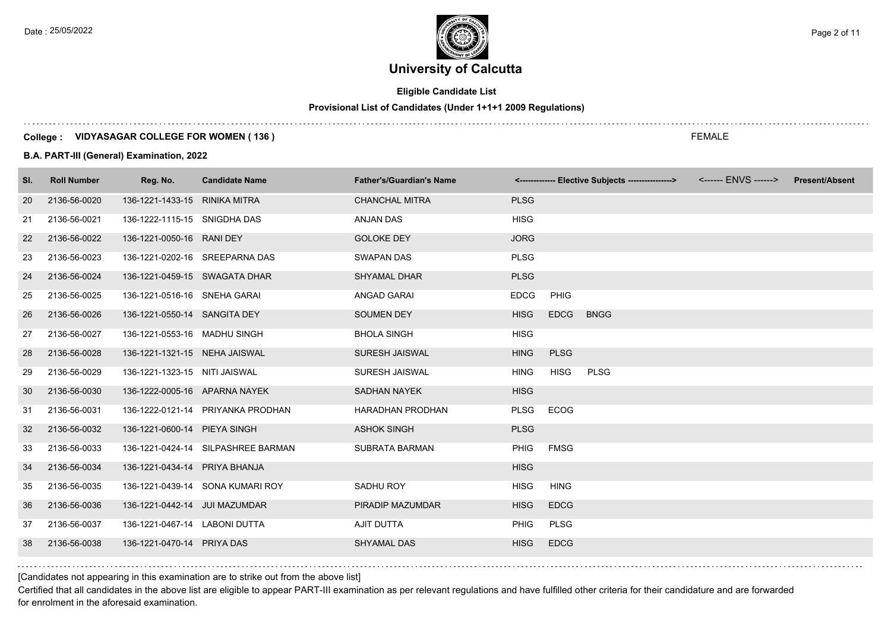# **Eligible Candidate List**

# **Provisional List of Candidates (Under 1+1+1 2009 Regulations)**

# **College : VIDYASAGAR COLLEGE FOR WOMEN ( 136 )**

#### **B.A. PART-III (General) Examination, 2022**

| SI. | <b>Roll Number</b> | Reg. No.                      | <b>Candidate Name</b>              | <b>Father's/Guardian's Name</b> |             |             | <-------------- Elective Subjects ----------------> | <b>Present/Absent</b> |
|-----|--------------------|-------------------------------|------------------------------------|---------------------------------|-------------|-------------|-----------------------------------------------------|-----------------------|
| 20  | 2136-56-0020       | 136-1221-1433-15 RINIKA MITRA |                                    | <b>CHANCHAL MITRA</b>           | <b>PLSG</b> |             |                                                     |                       |
| 21  | 2136-56-0021       | 136-1222-1115-15 SNIGDHA DAS  |                                    | <b>ANJAN DAS</b>                | <b>HISG</b> |             |                                                     |                       |
| 22  | 2136-56-0022       | 136-1221-0050-16 RANI DEY     |                                    | <b>GOLOKE DEY</b>               | <b>JORG</b> |             |                                                     |                       |
| 23  | 2136-56-0023       |                               | 136-1221-0202-16 SREEPARNA DAS     | <b>SWAPAN DAS</b>               | <b>PLSG</b> |             |                                                     |                       |
| 24  | 2136-56-0024       | 136-1221-0459-15 SWAGATA DHAR |                                    | <b>SHYAMAL DHAR</b>             | <b>PLSG</b> |             |                                                     |                       |
| 25  | 2136-56-0025       | 136-1221-0516-16 SNEHA GARAI  |                                    | ANGAD GARAI                     | <b>EDCG</b> | <b>PHIG</b> |                                                     |                       |
| 26  | 2136-56-0026       | 136-1221-0550-14 SANGITA DEY  |                                    | <b>SOUMEN DEY</b>               | <b>HISG</b> | <b>EDCG</b> | <b>BNGG</b>                                         |                       |
| 27  | 2136-56-0027       | 136-1221-0553-16 MADHU SINGH  |                                    | <b>BHOLA SINGH</b>              | <b>HISG</b> |             |                                                     |                       |
| 28  | 2136-56-0028       | 136-1221-1321-15 NEHA JAISWAL |                                    | SURESH JAISWAL                  | <b>HING</b> | <b>PLSG</b> |                                                     |                       |
| 29  | 2136-56-0029       | 136-1221-1323-15 NITI JAISWAL |                                    | SURESH JAISWAL                  | <b>HING</b> | <b>HISG</b> | <b>PLSG</b>                                         |                       |
| 30  | 2136-56-0030       | 136-1222-0005-16 APARNA NAYEK |                                    | <b>SADHAN NAYEK</b>             | <b>HISG</b> |             |                                                     |                       |
| 31  | 2136-56-0031       |                               | 136-1222-0121-14 PRIYANKA PRODHAN  | <b>HARADHAN PRODHAN</b>         | <b>PLSG</b> | ECOG        |                                                     |                       |
| 32  | 2136-56-0032       | 136-1221-0600-14 PIEYA SINGH  |                                    | <b>ASHOK SINGH</b>              | <b>PLSG</b> |             |                                                     |                       |
| 33  | 2136-56-0033       |                               | 136-1221-0424-14 SILPASHREE BARMAN | <b>SUBRATA BARMAN</b>           | <b>PHIG</b> | FMSG        |                                                     |                       |
| 34  | 2136-56-0034       | 136-1221-0434-14 PRIYA BHANJA |                                    |                                 | <b>HISG</b> |             |                                                     |                       |
| 35  | 2136-56-0035       |                               | 136-1221-0439-14 SONA KUMARI ROY   | SADHU ROY                       | <b>HISG</b> | <b>HING</b> |                                                     |                       |
| 36  | 2136-56-0036       | 136-1221-0442-14 JUI MAZUMDAR |                                    | PIRADIP MAZUMDAR                | <b>HISG</b> | <b>EDCG</b> |                                                     |                       |
| 37  | 2136-56-0037       | 136-1221-0467-14 LABONI DUTTA |                                    | AJIT DUTTA                      | <b>PHIG</b> | <b>PLSG</b> |                                                     |                       |
| 38  | 2136-56-0038       | 136-1221-0470-14 PRIYA DAS    |                                    | <b>SHYAMAL DAS</b>              | <b>HISG</b> | <b>EDCG</b> |                                                     |                       |

[Candidates not appearing in this examination are to strike out from the above list]

Certified that all candidates in the above list are eligible to appear PART-III examination as per relevant regulations and have fulfilled other criteria for their candidature and are forwarded for enrolment in the aforesaid examination.

FEMALE

Date : 25/05/2022  $\rho_{\text{age 2 of 11}}$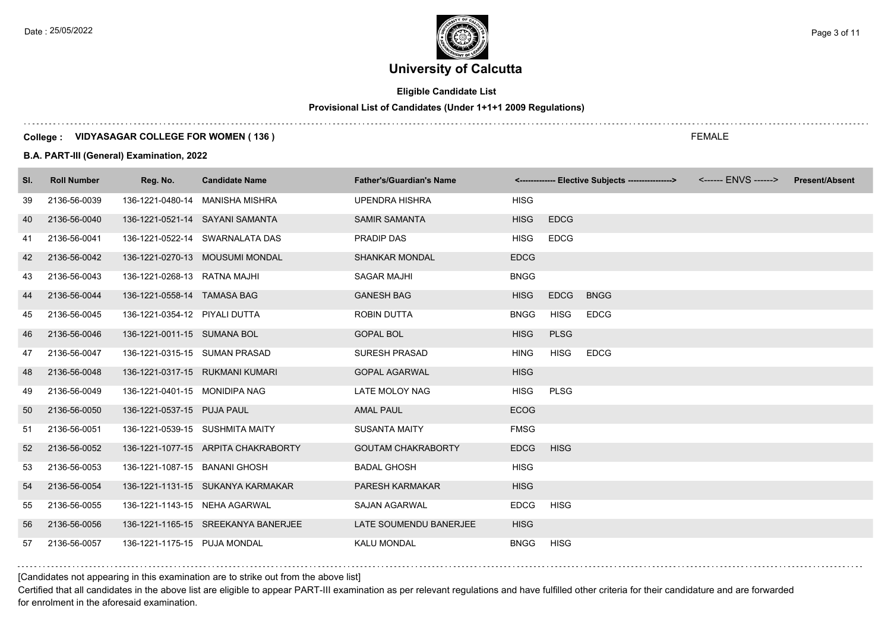# **Eligible Candidate List**

## **Provisional List of Candidates (Under 1+1+1 2009 Regulations)**

#### **College : VIDYASAGAR COLLEGE FOR WOMEN ( 136 )**

#### **B.A. PART-III (General) Examination, 2022**

| SI. | <b>Roll Number</b> | Reg. No.                      | <b>Candidate Name</b>               | <b>Father's/Guardian's Name</b> |             |             | <-------------- Elective Subjects ----------------> | <b>Present/Absent</b> |
|-----|--------------------|-------------------------------|-------------------------------------|---------------------------------|-------------|-------------|-----------------------------------------------------|-----------------------|
| 39  | 2136-56-0039       |                               | 136-1221-0480-14 MANISHA MISHRA     | <b>UPENDRA HISHRA</b>           | <b>HISG</b> |             |                                                     |                       |
| 40  | 2136-56-0040       |                               | 136-1221-0521-14 SAYANI SAMANTA     | <b>SAMIR SAMANTA</b>            | <b>HISG</b> | <b>EDCG</b> |                                                     |                       |
| 41  | 2136-56-0041       |                               | 136-1221-0522-14 SWARNALATA DAS     | PRADIP DAS                      | <b>HISG</b> | <b>EDCG</b> |                                                     |                       |
| 42  | 2136-56-0042       |                               | 136-1221-0270-13 MOUSUMI MONDAL     | <b>SHANKAR MONDAL</b>           | <b>EDCG</b> |             |                                                     |                       |
| 43  | 2136-56-0043       | 136-1221-0268-13 RATNA MAJHI  |                                     | <b>SAGAR MAJHI</b>              | <b>BNGG</b> |             |                                                     |                       |
| 44  | 2136-56-0044       | 136-1221-0558-14 TAMASA BAG   |                                     | <b>GANESH BAG</b>               | <b>HISG</b> | <b>EDCG</b> | <b>BNGG</b>                                         |                       |
| 45  | 2136-56-0045       | 136-1221-0354-12 PIYALI DUTTA |                                     | ROBIN DUTTA                     | <b>BNGG</b> | <b>HISG</b> | <b>EDCG</b>                                         |                       |
| 46  | 2136-56-0046       | 136-1221-0011-15 SUMANA BOL   |                                     | <b>GOPAL BOL</b>                | <b>HISG</b> | <b>PLSG</b> |                                                     |                       |
| 47  | 2136-56-0047       | 136-1221-0315-15 SUMAN PRASAD |                                     | <b>SURESH PRASAD</b>            | <b>HING</b> | <b>HISG</b> | <b>EDCG</b>                                         |                       |
| 48  | 2136-56-0048       |                               | 136-1221-0317-15 RUKMANI KUMARI     | <b>GOPAL AGARWAL</b>            | <b>HISG</b> |             |                                                     |                       |
| 49  | 2136-56-0049       | 136-1221-0401-15 MONIDIPA NAG |                                     | LATE MOLOY NAG                  | <b>HISG</b> | <b>PLSG</b> |                                                     |                       |
| 50  | 2136-56-0050       | 136-1221-0537-15 PUJA PAUL    |                                     | <b>AMAL PAUL</b>                | <b>ECOG</b> |             |                                                     |                       |
| 51  | 2136-56-0051       |                               | 136-1221-0539-15 SUSHMITA MAITY     | <b>SUSANTA MAITY</b>            | <b>FMSG</b> |             |                                                     |                       |
| 52  | 2136-56-0052       |                               | 136-1221-1077-15 ARPITA CHAKRABORTY | <b>GOUTAM CHAKRABORTY</b>       | <b>EDCG</b> | <b>HISG</b> |                                                     |                       |
| 53  | 2136-56-0053       | 136-1221-1087-15 BANANI GHOSH |                                     | <b>BADAL GHOSH</b>              | <b>HISG</b> |             |                                                     |                       |
| 54  | 2136-56-0054       |                               | 136-1221-1131-15 SUKANYA KARMAKAR   | <b>PARESH KARMAKAR</b>          | <b>HISG</b> |             |                                                     |                       |
| 55  | 2136-56-0055       | 136-1221-1143-15 NEHA AGARWAL |                                     | <b>SAJAN AGARWAL</b>            | <b>EDCG</b> | <b>HISG</b> |                                                     |                       |
| 56  | 2136-56-0056       |                               | 136-1221-1165-15 SREEKANYA BANERJEE | LATE SOUMENDU BANERJEE          | <b>HISG</b> |             |                                                     |                       |
| 57  | 2136-56-0057       | 136-1221-1175-15 PUJA MONDAL  |                                     | KALU MONDAL                     | <b>BNGG</b> | <b>HISG</b> |                                                     |                       |

[Candidates not appearing in this examination are to strike out from the above list]

Certified that all candidates in the above list are eligible to appear PART-III examination as per relevant regulations and have fulfilled other criteria for their candidature and are forwarded for enrolment in the aforesaid examination.

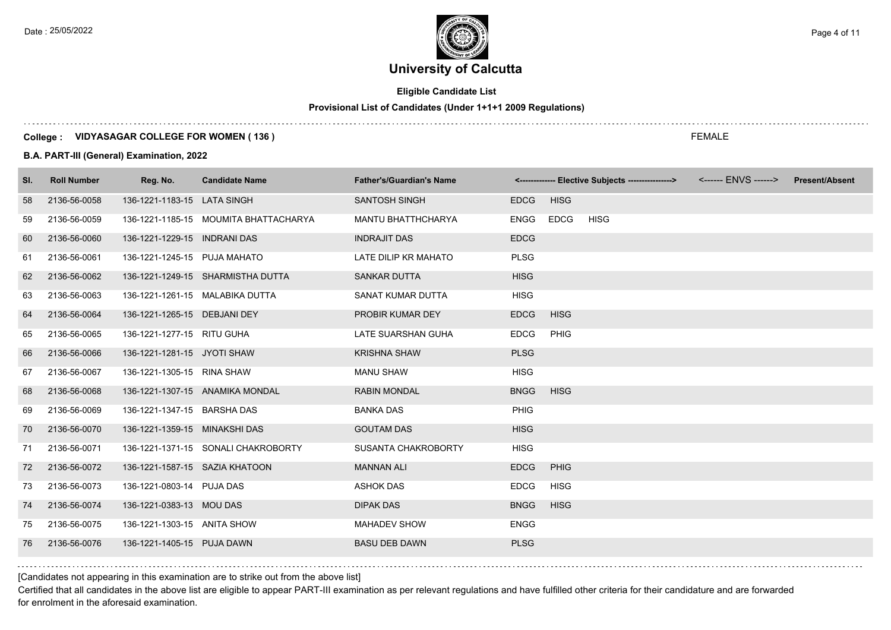Date : 25/05/2022  $\rho_{\text{age 4 of 11}}$ 

# **University of Calcutta**

# **Eligible Candidate List**

# **Provisional List of Candidates (Under 1+1+1 2009 Regulations)**

#### **College : VIDYASAGAR COLLEGE FOR WOMEN ( 136 )**

#### **B.A. PART-III (General) Examination, 2022**

| SI. | <b>Roll Number</b> | Reg. No.                       | <b>Candidate Name</b>                 | <b>Father's/Guardian's Name</b> |             | <-------------- Elective Subjects ----------------> | <b>Present/Absent</b> |
|-----|--------------------|--------------------------------|---------------------------------------|---------------------------------|-------------|-----------------------------------------------------|-----------------------|
| 58  | 2136-56-0058       | 136-1221-1183-15 LATA SINGH    |                                       | <b>SANTOSH SINGH</b>            | <b>EDCG</b> | <b>HISG</b>                                         |                       |
| 59  | 2136-56-0059       |                                | 136-1221-1185-15 MOUMITA BHATTACHARYA | MANTU BHATTHCHARYA              | <b>ENGG</b> | EDCG<br><b>HISG</b>                                 |                       |
| 60  | 2136-56-0060       | 136-1221-1229-15 INDRANI DAS   |                                       | <b>INDRAJIT DAS</b>             | <b>EDCG</b> |                                                     |                       |
| 61  | 2136-56-0061       | 136-1221-1245-15 PUJA MAHATO   |                                       | LATE DILIP KR MAHATO            | <b>PLSG</b> |                                                     |                       |
| 62  | 2136-56-0062       |                                | 136-1221-1249-15 SHARMISTHA DUTTA     | <b>SANKAR DUTTA</b>             | <b>HISG</b> |                                                     |                       |
| 63  | 2136-56-0063       |                                | 136-1221-1261-15 MALABIKA DUTTA       | SANAT KUMAR DUTTA               | <b>HISG</b> |                                                     |                       |
| 64  | 2136-56-0064       | 136-1221-1265-15 DEBJANI DEY   |                                       | PROBIR KUMAR DEY                | <b>EDCG</b> | <b>HISG</b>                                         |                       |
| 65  | 2136-56-0065       | 136-1221-1277-15 RITU GUHA     |                                       | LATE SUARSHAN GUHA              | <b>EDCG</b> | PHIG                                                |                       |
| 66  | 2136-56-0066       | 136-1221-1281-15 JYOTI SHAW    |                                       | <b>KRISHNA SHAW</b>             | <b>PLSG</b> |                                                     |                       |
| 67  | 2136-56-0067       | 136-1221-1305-15 RINA SHAW     |                                       | <b>MANU SHAW</b>                | <b>HISG</b> |                                                     |                       |
| 68  | 2136-56-0068       |                                | 136-1221-1307-15 ANAMIKA MONDAL       | <b>RABIN MONDAL</b>             | <b>BNGG</b> | <b>HISG</b>                                         |                       |
| 69  | 2136-56-0069       | 136-1221-1347-15 BARSHA DAS    |                                       | <b>BANKA DAS</b>                | <b>PHIG</b> |                                                     |                       |
| 70  | 2136-56-0070       | 136-1221-1359-15 MINAKSHI DAS  |                                       | <b>GOUTAM DAS</b>               | <b>HISG</b> |                                                     |                       |
| 71  | 2136-56-0071       |                                | 136-1221-1371-15 SONALI CHAKROBORTY   | SUSANTA CHAKROBORTY             | <b>HISG</b> |                                                     |                       |
| 72  | 2136-56-0072       | 136-1221-1587-15 SAZIA KHATOON |                                       | <b>MANNAN ALI</b>               | <b>EDCG</b> | PHIG                                                |                       |
| 73  | 2136-56-0073       | 136-1221-0803-14 PUJA DAS      |                                       | <b>ASHOK DAS</b>                | <b>EDCG</b> | <b>HISG</b>                                         |                       |
| 74  | 2136-56-0074       | 136-1221-0383-13 MOU DAS       |                                       | <b>DIPAK DAS</b>                | <b>BNGG</b> | <b>HISG</b>                                         |                       |
| 75  | 2136-56-0075       | 136-1221-1303-15 ANITA SHOW    |                                       | <b>MAHADEV SHOW</b>             | <b>ENGG</b> |                                                     |                       |
| 76  | 2136-56-0076       | 136-1221-1405-15 PUJA DAWN     |                                       | <b>BASU DEB DAWN</b>            | <b>PLSG</b> |                                                     |                       |

[Candidates not appearing in this examination are to strike out from the above list]

Certified that all candidates in the above list are eligible to appear PART-III examination as per relevant regulations and have fulfilled other criteria for their candidature and are forwarded for enrolment in the aforesaid examination.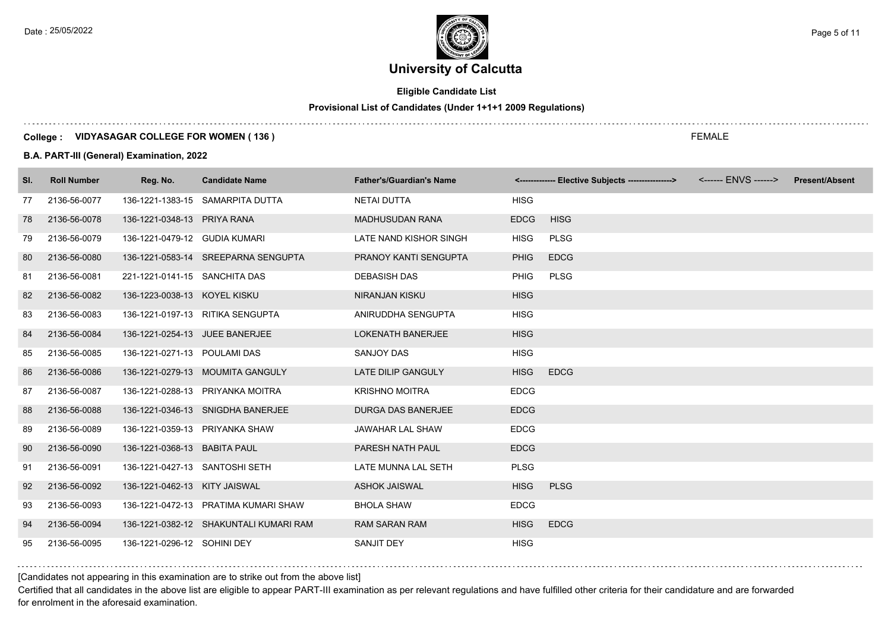Date : 25/05/2022  $\rho_{\text{age 5 of 11}}$ 

# **University of Calcutta**

# **Eligible Candidate List**

# **Provisional List of Candidates (Under 1+1+1 2009 Regulations)**

#### **College : VIDYASAGAR COLLEGE FOR WOMEN ( 136 )**

#### **B.A. PART-III (General) Examination, 2022**

| SI. | <b>Roll Number</b> | Reg. No.                       | <b>Candidate Name</b>                  | <b>Father's/Guardian's Name</b> |             | <-------------- Elective Subjects ----------------> | <b>Present/Absent</b> |
|-----|--------------------|--------------------------------|----------------------------------------|---------------------------------|-------------|-----------------------------------------------------|-----------------------|
| 77  | 2136-56-0077       |                                | 136-1221-1383-15 SAMARPITA DUTTA       | <b>NETAI DUTTA</b>              | <b>HISG</b> |                                                     |                       |
| 78  | 2136-56-0078       | 136-1221-0348-13 PRIYA RANA    |                                        | <b>MADHUSUDAN RANA</b>          | <b>EDCG</b> | <b>HISG</b>                                         |                       |
| 79  | 2136-56-0079       | 136-1221-0479-12 GUDIA KUMARI  |                                        | LATE NAND KISHOR SINGH          | <b>HISG</b> | PLSG                                                |                       |
| 80  | 2136-56-0080       |                                | 136-1221-0583-14 SREEPARNA SENGUPTA    | PRANOY KANTI SENGUPTA           | <b>PHIG</b> | <b>EDCG</b>                                         |                       |
| 81  | 2136-56-0081       | 221-1221-0141-15 SANCHITA DAS  |                                        | <b>DEBASISH DAS</b>             | <b>PHIG</b> | <b>PLSG</b>                                         |                       |
| 82  | 2136-56-0082       | 136-1223-0038-13 KOYEL KISKU   |                                        | <b>NIRANJAN KISKU</b>           | <b>HISG</b> |                                                     |                       |
| 83  | 2136-56-0083       |                                | 136-1221-0197-13 RITIKA SENGUPTA       | ANIRUDDHA SENGUPTA              | <b>HISG</b> |                                                     |                       |
| 84  | 2136-56-0084       | 136-1221-0254-13 JUEE BANERJEE |                                        | LOKENATH BANERJEE               | <b>HISG</b> |                                                     |                       |
| 85  | 2136-56-0085       | 136-1221-0271-13 POULAMI DAS   |                                        | <b>SANJOY DAS</b>               | <b>HISG</b> |                                                     |                       |
| 86  | 2136-56-0086       |                                | 136-1221-0279-13 MOUMITA GANGULY       | <b>LATE DILIP GANGULY</b>       | <b>HISG</b> | <b>EDCG</b>                                         |                       |
| 87  | 2136-56-0087       |                                | 136-1221-0288-13 PRIYANKA MOITRA       | <b>KRISHNO MOITRA</b>           | <b>EDCG</b> |                                                     |                       |
| 88  | 2136-56-0088       |                                | 136-1221-0346-13 SNIGDHA BANERJEE      | DURGA DAS BANERJEE              | <b>EDCG</b> |                                                     |                       |
| 89  | 2136-56-0089       | 136-1221-0359-13 PRIYANKA SHAW |                                        | <b>JAWAHAR LAL SHAW</b>         | <b>EDCG</b> |                                                     |                       |
| 90  | 2136-56-0090       | 136-1221-0368-13 BABITA PAUL   |                                        | PARESH NATH PAUL                | <b>EDCG</b> |                                                     |                       |
| 91  | 2136-56-0091       | 136-1221-0427-13 SANTOSHI SETH |                                        | LATE MUNNA LAL SETH             | <b>PLSG</b> |                                                     |                       |
| 92  | 2136-56-0092       | 136-1221-0462-13 KITY JAISWAL  |                                        | <b>ASHOK JAISWAL</b>            | <b>HISG</b> | <b>PLSG</b>                                         |                       |
| 93  | 2136-56-0093       |                                | 136-1221-0472-13 PRATIMA KUMARI SHAW   | <b>BHOLA SHAW</b>               | <b>EDCG</b> |                                                     |                       |
| 94  | 2136-56-0094       |                                | 136-1221-0382-12 SHAKUNTALI KUMARI RAM | <b>RAM SARAN RAM</b>            | <b>HISG</b> | <b>EDCG</b>                                         |                       |
| 95  | 2136-56-0095       | 136-1221-0296-12 SOHINI DEY    |                                        | <b>SANJIT DEY</b>               | <b>HISG</b> |                                                     |                       |

[Candidates not appearing in this examination are to strike out from the above list]

Certified that all candidates in the above list are eligible to appear PART-III examination as per relevant regulations and have fulfilled other criteria for their candidature and are forwarded for enrolment in the aforesaid examination.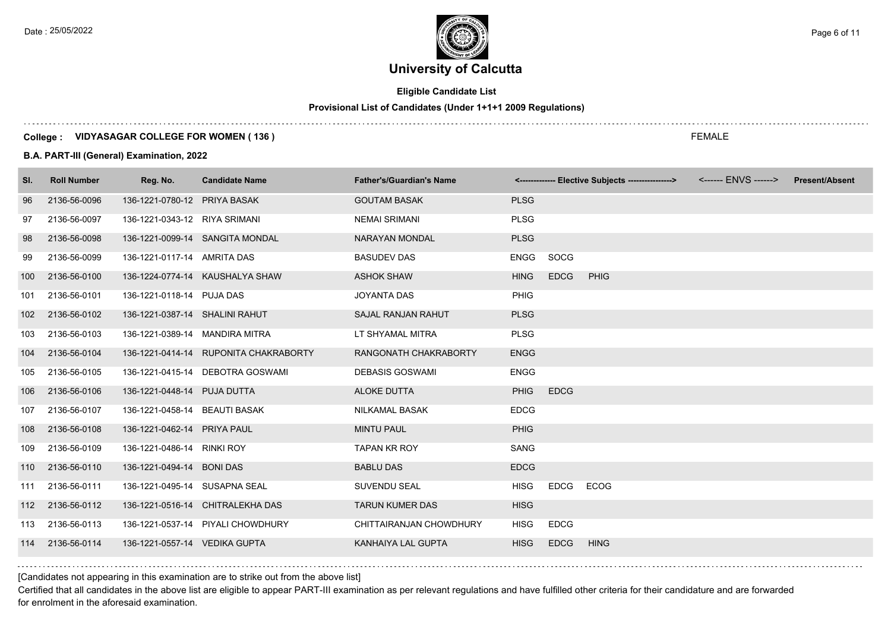# **Eligible Candidate List**

**Provisional List of Candidates (Under 1+1+1 2009 Regulations)**

#### **College : VIDYASAGAR COLLEGE FOR WOMEN ( 136 )**

#### **B.A. PART-III (General) Examination, 2022**

| SI. | <b>Roll Number</b> | Reg. No.                       | <b>Candidate Name</b>                 | <b>Father's/Guardian's Name</b> |             |             | <-------------- Elective Subjects ----------------> | <b>Present/Absent</b> |
|-----|--------------------|--------------------------------|---------------------------------------|---------------------------------|-------------|-------------|-----------------------------------------------------|-----------------------|
| 96  | 2136-56-0096       | 136-1221-0780-12 PRIYA BASAK   |                                       | <b>GOUTAM BASAK</b>             | <b>PLSG</b> |             |                                                     |                       |
| 97  | 2136-56-0097       | 136-1221-0343-12 RIYA SRIMANI  |                                       | <b>NEMAI SRIMANI</b>            | <b>PLSG</b> |             |                                                     |                       |
| 98  | 2136-56-0098       |                                | 136-1221-0099-14 SANGITA MONDAL       | NARAYAN MONDAL                  | <b>PLSG</b> |             |                                                     |                       |
| 99  | 2136-56-0099       | 136-1221-0117-14 AMRITA DAS    |                                       | <b>BASUDEV DAS</b>              | <b>ENGG</b> | SOCG        |                                                     |                       |
| 100 | 2136-56-0100       |                                | 136-1224-0774-14 KAUSHALYA SHAW       | <b>ASHOK SHAW</b>               | <b>HING</b> | <b>EDCG</b> | <b>PHIG</b>                                         |                       |
| 101 | 2136-56-0101       | 136-1221-0118-14 PUJA DAS      |                                       | <b>JOYANTA DAS</b>              | <b>PHIG</b> |             |                                                     |                       |
| 102 | 2136-56-0102       | 136-1221-0387-14 SHALINI RAHUT |                                       | <b>SAJAL RANJAN RAHUT</b>       | <b>PLSG</b> |             |                                                     |                       |
| 103 | 2136-56-0103       | 136-1221-0389-14 MANDIRA MITRA |                                       | LT SHYAMAL MITRA                | <b>PLSG</b> |             |                                                     |                       |
| 104 | 2136-56-0104       |                                | 136-1221-0414-14 RUPONITA CHAKRABORTY | RANGONATH CHAKRABORTY           | <b>ENGG</b> |             |                                                     |                       |
| 105 | 2136-56-0105       |                                | 136-1221-0415-14 DEBOTRA GOSWAMI      | <b>DEBASIS GOSWAMI</b>          | <b>ENGG</b> |             |                                                     |                       |
| 106 | 2136-56-0106       | 136-1221-0448-14 PUJA DUTTA    |                                       | <b>ALOKE DUTTA</b>              | <b>PHIG</b> | <b>EDCG</b> |                                                     |                       |
| 107 | 2136-56-0107       | 136-1221-0458-14 BEAUTI BASAK  |                                       | NILKAMAL BASAK                  | <b>EDCG</b> |             |                                                     |                       |
| 108 | 2136-56-0108       | 136-1221-0462-14 PRIYA PAUL    |                                       | <b>MINTU PAUL</b>               | <b>PHIG</b> |             |                                                     |                       |
| 109 | 2136-56-0109       | 136-1221-0486-14 RINKI ROY     |                                       | <b>TAPAN KR ROY</b>             | SANG        |             |                                                     |                       |
| 110 | 2136-56-0110       | 136-1221-0494-14 BONI DAS      |                                       | <b>BABLU DAS</b>                | <b>EDCG</b> |             |                                                     |                       |
| 111 | 2136-56-0111       | 136-1221-0495-14 SUSAPNA SEAL  |                                       | <b>SUVENDU SEAL</b>             | <b>HISG</b> | EDCG        | <b>ECOG</b>                                         |                       |
| 112 | 2136-56-0112       |                                | 136-1221-0516-14 CHITRALEKHA DAS      | <b>TARUN KUMER DAS</b>          | <b>HISG</b> |             |                                                     |                       |
| 113 | 2136-56-0113       |                                | 136-1221-0537-14 PIYALI CHOWDHURY     | CHITTAIRANJAN CHOWDHURY         | <b>HISG</b> | <b>EDCG</b> |                                                     |                       |
| 114 | 2136-56-0114       | 136-1221-0557-14 VEDIKA GUPTA  |                                       | KANHAIYA LAL GUPTA              | <b>HISG</b> | <b>EDCG</b> | <b>HING</b>                                         |                       |

FEMALE

[Candidates not appearing in this examination are to strike out from the above list]

Certified that all candidates in the above list are eligible to appear PART-III examination as per relevant regulations and have fulfilled other criteria for their candidature and are forwarded for enrolment in the aforesaid examination.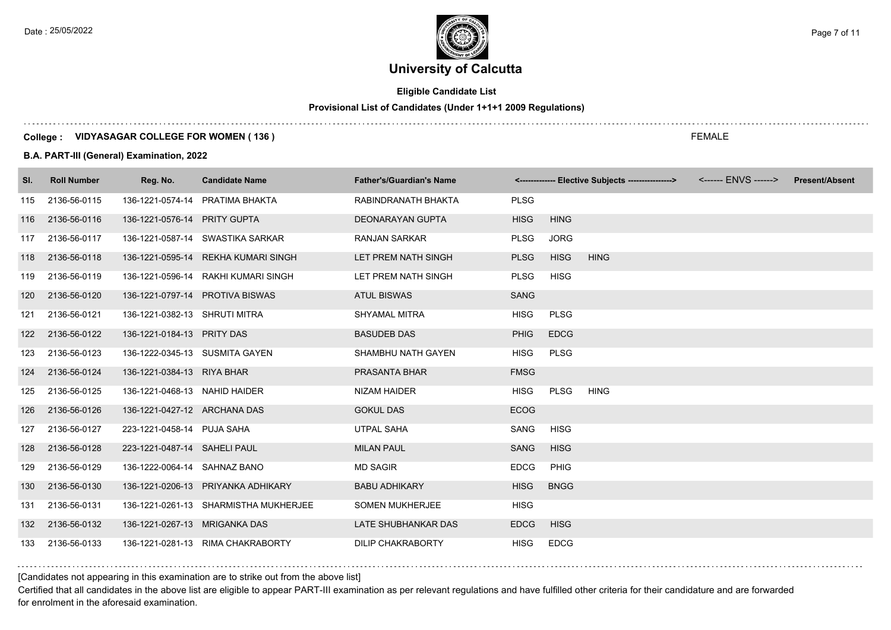# **Eligible Candidate List**

# **Provisional List of Candidates (Under 1+1+1 2009 Regulations)**

#### **College : VIDYASAGAR COLLEGE FOR WOMEN ( 136 )**

#### **B.A. PART-III (General) Examination, 2022**

| SI. | <b>Roll Number</b> | Reg. No.                       | <b>Candidate Name</b>                 | <b>Father's/Guardian's Name</b> |             |             | <-------------- Elective Subjects ----------------> <------ ENVS ------> | <b>Present/Absent</b> |
|-----|--------------------|--------------------------------|---------------------------------------|---------------------------------|-------------|-------------|--------------------------------------------------------------------------|-----------------------|
| 115 | 2136-56-0115       |                                | 136-1221-0574-14 PRATIMA BHAKTA       | RABINDRANATH BHAKTA             | <b>PLSG</b> |             |                                                                          |                       |
| 116 | 2136-56-0116       | 136-1221-0576-14 PRITY GUPTA   |                                       | DEONARAYAN GUPTA                | <b>HISG</b> | <b>HING</b> |                                                                          |                       |
| 117 | 2136-56-0117       |                                | 136-1221-0587-14 SWASTIKA SARKAR      | <b>RANJAN SARKAR</b>            | PLSG        | <b>JORG</b> |                                                                          |                       |
| 118 | 2136-56-0118       |                                | 136-1221-0595-14 REKHA KUMARI SINGH   | LET PREM NATH SINGH             | <b>PLSG</b> | <b>HISG</b> | <b>HING</b>                                                              |                       |
| 119 | 2136-56-0119       |                                | 136-1221-0596-14 RAKHI KUMARI SINGH   | LET PREM NATH SINGH             | PLSG        | <b>HISG</b> |                                                                          |                       |
| 120 | 2136-56-0120       |                                | 136-1221-0797-14 PROTIVA BISWAS       | <b>ATUL BISWAS</b>              | <b>SANG</b> |             |                                                                          |                       |
| 121 | 2136-56-0121       | 136-1221-0382-13 SHRUTI MITRA  |                                       | SHYAMAL MITRA                   | <b>HISG</b> | <b>PLSG</b> |                                                                          |                       |
| 122 | 2136-56-0122       | 136-1221-0184-13 PRITY DAS     |                                       | <b>BASUDEB DAS</b>              | <b>PHIG</b> | <b>EDCG</b> |                                                                          |                       |
| 123 | 2136-56-0123       | 136-1222-0345-13 SUSMITA GAYEN |                                       | SHAMBHU NATH GAYEN              | <b>HISG</b> | <b>PLSG</b> |                                                                          |                       |
| 124 | 2136-56-0124       | 136-1221-0384-13 RIYA BHAR     |                                       | PRASANTA BHAR                   | <b>FMSG</b> |             |                                                                          |                       |
| 125 | 2136-56-0125       | 136-1221-0468-13 NAHID HAIDER  |                                       | NIZAM HAIDER                    | <b>HISG</b> | <b>PLSG</b> | <b>HING</b>                                                              |                       |
| 126 | 2136-56-0126       | 136-1221-0427-12 ARCHANA DAS   |                                       | <b>GOKUL DAS</b>                | <b>ECOG</b> |             |                                                                          |                       |
| 127 | 2136-56-0127       | 223-1221-0458-14 PUJA SAHA     |                                       | <b>UTPAL SAHA</b>               | SANG        | <b>HISG</b> |                                                                          |                       |
| 128 | 2136-56-0128       | 223-1221-0487-14 SAHELI PAUL   |                                       | <b>MILAN PAUL</b>               | <b>SANG</b> | <b>HISG</b> |                                                                          |                       |
| 129 | 2136-56-0129       | 136-1222-0064-14 SAHNAZ BANO   |                                       | <b>MD SAGIR</b>                 | <b>EDCG</b> | <b>PHIG</b> |                                                                          |                       |
| 130 | 2136-56-0130       |                                | 136-1221-0206-13 PRIYANKA ADHIKARY    | <b>BABU ADHIKARY</b>            | <b>HISG</b> | <b>BNGG</b> |                                                                          |                       |
| 131 | 2136-56-0131       |                                | 136-1221-0261-13 SHARMISTHA MUKHERJEE | <b>SOMEN MUKHERJEE</b>          | <b>HISG</b> |             |                                                                          |                       |
| 132 | 2136-56-0132       | 136-1221-0267-13 MRIGANKA DAS  |                                       | LATE SHUBHANKAR DAS             | <b>EDCG</b> | <b>HISG</b> |                                                                          |                       |
| 133 | 2136-56-0133       |                                | 136-1221-0281-13 RIMA CHAKRABORTY     | <b>DILIP CHAKRABORTY</b>        | <b>HISG</b> | <b>EDCG</b> |                                                                          |                       |

## [Candidates not appearing in this examination are to strike out from the above list]

Certified that all candidates in the above list are eligible to appear PART-III examination as per relevant regulations and have fulfilled other criteria for their candidature and are forwarded for enrolment in the aforesaid examination.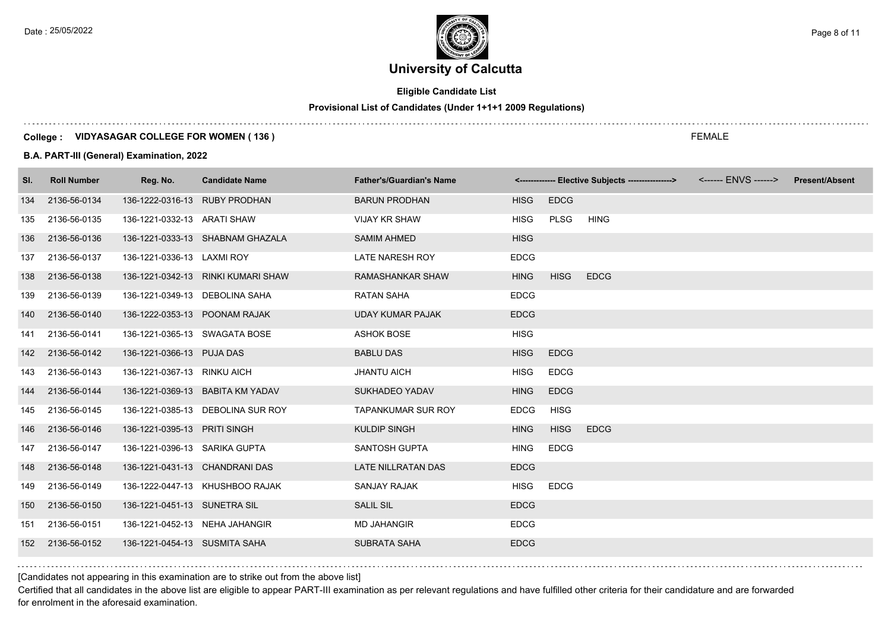# **Eligible Candidate List**

# **Provisional List of Candidates (Under 1+1+1 2009 Regulations)**

#### **College : VIDYASAGAR COLLEGE FOR WOMEN ( 136 )**

#### **B.A. PART-III (General) Examination, 2022**

| SI. | <b>Roll Number</b> | Reg. No.                       | <b>Candidate Name</b>              | <b>Father's/Guardian's Name</b> |             |             | <-------------- Elective Subjects ----------------> | <b>Present/Absent</b> |
|-----|--------------------|--------------------------------|------------------------------------|---------------------------------|-------------|-------------|-----------------------------------------------------|-----------------------|
| 134 | 2136-56-0134       | 136-1222-0316-13 RUBY PRODHAN  |                                    | <b>BARUN PRODHAN</b>            | <b>HISG</b> | <b>EDCG</b> |                                                     |                       |
| 135 | 2136-56-0135       | 136-1221-0332-13 ARATI SHAW    |                                    | <b>VIJAY KR SHAW</b>            | <b>HISG</b> | PLSG        | <b>HING</b>                                         |                       |
| 136 | 2136-56-0136       |                                | 136-1221-0333-13 SHABNAM GHAZALA   | <b>SAMIM AHMED</b>              | <b>HISG</b> |             |                                                     |                       |
| 137 | 2136-56-0137       | 136-1221-0336-13 LAXMI ROY     |                                    | <b>LATE NARESH ROY</b>          | <b>EDCG</b> |             |                                                     |                       |
| 138 | 2136-56-0138       |                                | 136-1221-0342-13 RINKI KUMARI SHAW | RAMASHANKAR SHAW                | <b>HING</b> | <b>HISG</b> | <b>EDCG</b>                                         |                       |
| 139 | 2136-56-0139       | 136-1221-0349-13 DEBOLINA SAHA |                                    | <b>RATAN SAHA</b>               | <b>EDCG</b> |             |                                                     |                       |
| 140 | 2136-56-0140       | 136-1222-0353-13 POONAM RAJAK  |                                    | <b>UDAY KUMAR PAJAK</b>         | <b>EDCG</b> |             |                                                     |                       |
| 141 | 2136-56-0141       | 136-1221-0365-13 SWAGATA BOSE  |                                    | <b>ASHOK BOSE</b>               | <b>HISG</b> |             |                                                     |                       |
| 142 | 2136-56-0142       | 136-1221-0366-13 PUJA DAS      |                                    | <b>BABLU DAS</b>                | <b>HISG</b> | <b>EDCG</b> |                                                     |                       |
| 143 | 2136-56-0143       | 136-1221-0367-13 RINKU AICH    |                                    | <b>JHANTU AICH</b>              | <b>HISG</b> | <b>EDCG</b> |                                                     |                       |
| 144 | 2136-56-0144       |                                | 136-1221-0369-13 BABITA KM YADAV   | <b>SUKHADEO YADAV</b>           | <b>HING</b> | <b>EDCG</b> |                                                     |                       |
| 145 | 2136-56-0145       |                                | 136-1221-0385-13 DEBOLINA SUR ROY  | <b>TAPANKUMAR SUR ROY</b>       | <b>EDCG</b> | <b>HISG</b> |                                                     |                       |
| 146 | 2136-56-0146       | 136-1221-0395-13 PRITI SINGH   |                                    | <b>KULDIP SINGH</b>             | <b>HING</b> | <b>HISG</b> | <b>EDCG</b>                                         |                       |
| 147 | 2136-56-0147       | 136-1221-0396-13 SARIKA GUPTA  |                                    | SANTOSH GUPTA                   | <b>HING</b> | <b>EDCG</b> |                                                     |                       |
| 148 | 2136-56-0148       | 136-1221-0431-13 CHANDRANI DAS |                                    | LATE NILLRATAN DAS              | <b>EDCG</b> |             |                                                     |                       |
| 149 | 2136-56-0149       |                                | 136-1222-0447-13 KHUSHBOO RAJAK    | <b>SANJAY RAJAK</b>             | <b>HISG</b> | <b>EDCG</b> |                                                     |                       |
| 150 | 2136-56-0150       | 136-1221-0451-13 SUNETRA SIL   |                                    | <b>SALIL SIL</b>                | <b>EDCG</b> |             |                                                     |                       |
| 151 | 2136-56-0151       | 136-1221-0452-13 NEHA JAHANGIR |                                    | <b>MD JAHANGIR</b>              | <b>EDCG</b> |             |                                                     |                       |
| 152 | 2136-56-0152       | 136-1221-0454-13 SUSMITA SAHA  |                                    | <b>SUBRATA SAHA</b>             | <b>EDCG</b> |             |                                                     |                       |

[Candidates not appearing in this examination are to strike out from the above list]

Certified that all candidates in the above list are eligible to appear PART-III examination as per relevant regulations and have fulfilled other criteria for their candidature and are forwarded for enrolment in the aforesaid examination.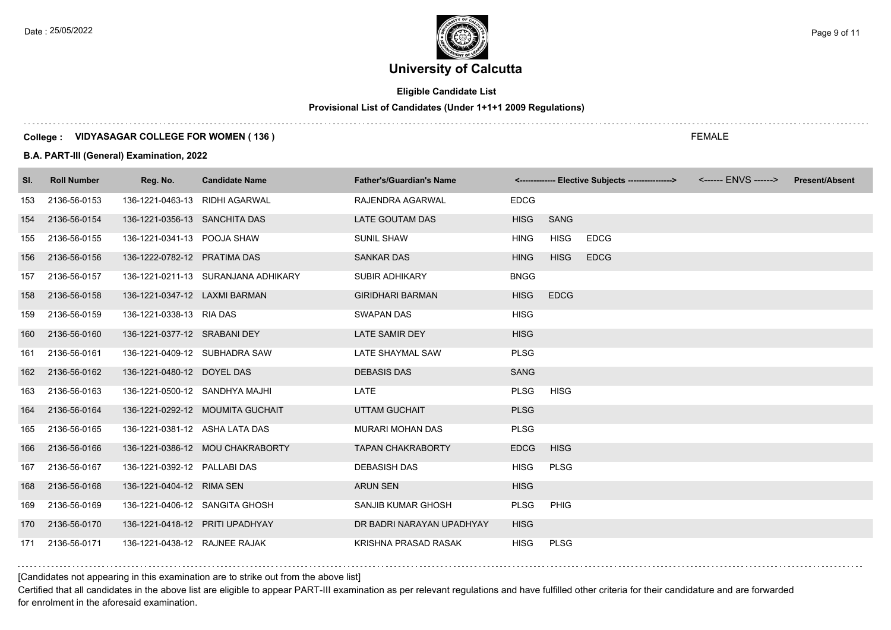# **Eligible Candidate List**

# **Provisional List of Candidates (Under 1+1+1 2009 Regulations)**

#### **College : VIDYASAGAR COLLEGE FOR WOMEN ( 136 )**

#### **B.A. PART-III (General) Examination, 2022**

| SI. | <b>Roll Number</b> | Reg. No.                        | <b>Candidate Name</b>               | <b>Father's/Guardian's Name</b> |             |             | <-------------- Elective Subjects ----------------> | <b>Present/Absent</b> |
|-----|--------------------|---------------------------------|-------------------------------------|---------------------------------|-------------|-------------|-----------------------------------------------------|-----------------------|
| 153 | 2136-56-0153       | 136-1221-0463-13 RIDHI AGARWAL  |                                     | RAJENDRA AGARWAL                | <b>EDCG</b> |             |                                                     |                       |
| 154 | 2136-56-0154       | 136-1221-0356-13 SANCHITA DAS   |                                     | LATE GOUTAM DAS                 | <b>HISG</b> | <b>SANG</b> |                                                     |                       |
| 155 | 2136-56-0155       | 136-1221-0341-13 POOJA SHAW     |                                     | <b>SUNIL SHAW</b>               | <b>HING</b> | <b>HISG</b> | <b>EDCG</b>                                         |                       |
| 156 | 2136-56-0156       | 136-1222-0782-12 PRATIMA DAS    |                                     | <b>SANKAR DAS</b>               | <b>HING</b> | <b>HISG</b> | <b>EDCG</b>                                         |                       |
| 157 | 2136-56-0157       |                                 | 136-1221-0211-13 SURANJANA ADHIKARY | <b>SUBIR ADHIKARY</b>           | <b>BNGG</b> |             |                                                     |                       |
| 158 | 2136-56-0158       | 136-1221-0347-12 LAXMI BARMAN   |                                     | <b>GIRIDHARI BARMAN</b>         | <b>HISG</b> | <b>EDCG</b> |                                                     |                       |
| 159 | 2136-56-0159       | 136-1221-0338-13 RIA DAS        |                                     | <b>SWAPAN DAS</b>               | <b>HISG</b> |             |                                                     |                       |
| 160 | 2136-56-0160       | 136-1221-0377-12 SRABANI DEY    |                                     | LATE SAMIR DEY                  | <b>HISG</b> |             |                                                     |                       |
| 161 | 2136-56-0161       | 136-1221-0409-12 SUBHADRA SAW   |                                     | LATE SHAYMAL SAW                | <b>PLSG</b> |             |                                                     |                       |
| 162 | 2136-56-0162       | 136-1221-0480-12 DOYEL DAS      |                                     | <b>DEBASIS DAS</b>              | <b>SANG</b> |             |                                                     |                       |
| 163 | 2136-56-0163       | 136-1221-0500-12 SANDHYA MAJHI  |                                     | LATE                            | <b>PLSG</b> | <b>HISG</b> |                                                     |                       |
| 164 | 2136-56-0164       |                                 | 136-1221-0292-12 MOUMITA GUCHAIT    | <b>UTTAM GUCHAIT</b>            | <b>PLSG</b> |             |                                                     |                       |
| 165 | 2136-56-0165       | 136-1221-0381-12 ASHA LATA DAS  |                                     | <b>MURARI MOHAN DAS</b>         | <b>PLSG</b> |             |                                                     |                       |
| 166 | 2136-56-0166       |                                 | 136-1221-0386-12 MOU CHAKRABORTY    | <b>TAPAN CHAKRABORTY</b>        | <b>EDCG</b> | <b>HISG</b> |                                                     |                       |
| 167 | 2136-56-0167       | 136-1221-0392-12 PALLABI DAS    |                                     | <b>DEBASISH DAS</b>             | <b>HISG</b> | PLSG        |                                                     |                       |
| 168 | 2136-56-0168       | 136-1221-0404-12 RIMA SEN       |                                     | <b>ARUN SEN</b>                 | <b>HISG</b> |             |                                                     |                       |
| 169 | 2136-56-0169       |                                 | 136-1221-0406-12 SANGITA GHOSH      | SANJIB KUMAR GHOSH              | <b>PLSG</b> | <b>PHIG</b> |                                                     |                       |
| 170 | 2136-56-0170       | 136-1221-0418-12 PRITI UPADHYAY |                                     | DR BADRI NARAYAN UPADHYAY       | <b>HISG</b> |             |                                                     |                       |
|     | 171 2136-56-0171   | 136-1221-0438-12 RAJNEE RAJAK   |                                     | KRISHNA PRASAD RASAK            | <b>HISG</b> | <b>PLSG</b> |                                                     |                       |

# [Candidates not appearing in this examination are to strike out from the above list]

Certified that all candidates in the above list are eligible to appear PART-III examination as per relevant regulations and have fulfilled other criteria for their candidature and are forwarded for enrolment in the aforesaid examination.

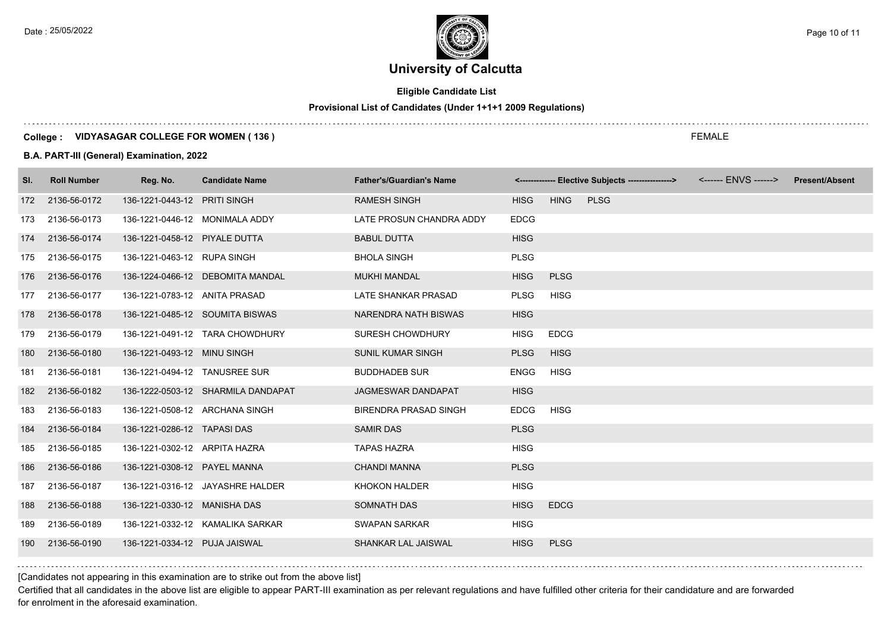$\ldots$  .

Date : 25/05/2022 Page 10 of 11

# **University of Calcutta**

# **Eligible Candidate List**

#### **Provisional List of Candidates (Under 1+1+1 2009 Regulations)**

#### **College : VIDYASAGAR COLLEGE FOR WOMEN ( 136 )**

#### **B.A. PART-III (General) Examination, 2022**

| SI. | <b>Roll Number</b> | Reg. No.                       | <b>Candidate Name</b>              | <b>Father's/Guardian's Name</b> |             |             | <-------------- Elective Subjects ----------------> <------ ENVS ------> Present/Absent |  |
|-----|--------------------|--------------------------------|------------------------------------|---------------------------------|-------------|-------------|-----------------------------------------------------------------------------------------|--|
|     | 172 2136-56-0172   | 136-1221-0443-12 PRITI SINGH   |                                    | <b>RAMESH SINGH</b>             | <b>HISG</b> | <b>HING</b> | <b>PLSG</b>                                                                             |  |
| 173 | 2136-56-0173       | 136-1221-0446-12 MONIMALA ADDY |                                    | LATE PROSUN CHANDRA ADDY        | <b>EDCG</b> |             |                                                                                         |  |
| 174 | 2136-56-0174       | 136-1221-0458-12 PIYALE DUTTA  |                                    | <b>BABUL DUTTA</b>              | <b>HISG</b> |             |                                                                                         |  |
| 175 | 2136-56-0175       | 136-1221-0463-12 RUPA SINGH    |                                    | <b>BHOLA SINGH</b>              | <b>PLSG</b> |             |                                                                                         |  |
| 176 | 2136-56-0176       |                                | 136-1224-0466-12 DEBOMITA MANDAL   | <b>MUKHI MANDAL</b>             | <b>HISG</b> | <b>PLSG</b> |                                                                                         |  |
| 177 | 2136-56-0177       | 136-1221-0783-12 ANITA PRASAD  |                                    | LATE SHANKAR PRASAD             | <b>PLSG</b> | <b>HISG</b> |                                                                                         |  |
| 178 | 2136-56-0178       |                                | 136-1221-0485-12 SOUMITA BISWAS    | NARENDRA NATH BISWAS            | <b>HISG</b> |             |                                                                                         |  |
| 179 | 2136-56-0179       |                                | 136-1221-0491-12 TARA CHOWDHURY    | <b>SURESH CHOWDHURY</b>         | <b>HISG</b> | <b>EDCG</b> |                                                                                         |  |
| 180 | 2136-56-0180       | 136-1221-0493-12 MINU SINGH    |                                    | <b>SUNIL KUMAR SINGH</b>        | <b>PLSG</b> | <b>HISG</b> |                                                                                         |  |
| 181 | 2136-56-0181       | 136-1221-0494-12 TANUSREE SUR  |                                    | <b>BUDDHADEB SUR</b>            | <b>ENGG</b> | <b>HISG</b> |                                                                                         |  |
| 182 | 2136-56-0182       |                                | 136-1222-0503-12 SHARMILA DANDAPAT | <b>JAGMESWAR DANDAPAT</b>       | <b>HISG</b> |             |                                                                                         |  |
| 183 | 2136-56-0183       | 136-1221-0508-12 ARCHANA SINGH |                                    | <b>BIRENDRA PRASAD SINGH</b>    | <b>EDCG</b> | <b>HISG</b> |                                                                                         |  |
| 184 | 2136-56-0184       | 136-1221-0286-12 TAPASI DAS    |                                    | <b>SAMIR DAS</b>                | <b>PLSG</b> |             |                                                                                         |  |
| 185 | 2136-56-0185       | 136-1221-0302-12 ARPITA HAZRA  |                                    | <b>TAPAS HAZRA</b>              | <b>HISG</b> |             |                                                                                         |  |
| 186 | 2136-56-0186       | 136-1221-0308-12 PAYEL MANNA   |                                    | <b>CHANDI MANNA</b>             | <b>PLSG</b> |             |                                                                                         |  |
| 187 | 2136-56-0187       |                                | 136-1221-0316-12 JAYASHRE HALDER   | <b>KHOKON HALDER</b>            | <b>HISG</b> |             |                                                                                         |  |
| 188 | 2136-56-0188       | 136-1221-0330-12 MANISHA DAS   |                                    | <b>SOMNATH DAS</b>              | <b>HISG</b> | <b>EDCG</b> |                                                                                         |  |
| 189 | 2136-56-0189       |                                | 136-1221-0332-12 KAMALIKA SARKAR   | <b>SWAPAN SARKAR</b>            | <b>HISG</b> |             |                                                                                         |  |
| 190 | 2136-56-0190       | 136-1221-0334-12 PUJA JAISWAL  |                                    | <b>SHANKAR LAL JAISWAL</b>      | <b>HISG</b> | <b>PLSG</b> |                                                                                         |  |

## [Candidates not appearing in this examination are to strike out from the above list]

Certified that all candidates in the above list are eligible to appear PART-III examination as per relevant regulations and have fulfilled other criteria for their candidature and are forwarded for enrolment in the aforesaid examination.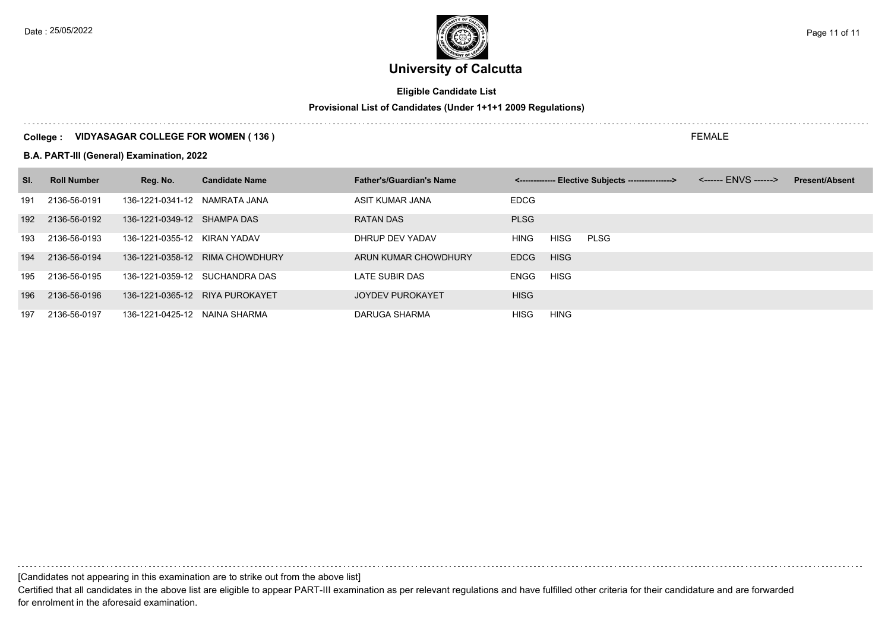Date : 25/05/2022 Page 11 of 11

# **University of Calcutta**

# **Eligible Candidate List**

# **Provisional List of Candidates (Under 1+1+1 2009 Regulations)**

## **College : VIDYASAGAR COLLEGE FOR WOMEN ( 136 )**

#### **B.A. PART-III (General) Examination, 2022**

| SI. | <b>Roll Number</b> | Reg. No.                      | <b>Candidate Name</b>           | <b>Father's/Guardian's Name</b> |             |             | <-------------- Elective Subjects ----------------> | <b>Present/Absent</b> |
|-----|--------------------|-------------------------------|---------------------------------|---------------------------------|-------------|-------------|-----------------------------------------------------|-----------------------|
| 191 | 2136-56-0191       | 136-1221-0341-12 NAMRATA JANA |                                 | ASIT KUMAR JANA                 | <b>EDCG</b> |             |                                                     |                       |
| 192 | 2136-56-0192       | 136-1221-0349-12 SHAMPA DAS   |                                 | <b>RATAN DAS</b>                | <b>PLSG</b> |             |                                                     |                       |
| 193 | 2136-56-0193       | 136-1221-0355-12 KIRAN YADAV  |                                 | DHRUP DEV YADAV                 | <b>HING</b> | <b>HISG</b> | <b>PLSG</b>                                         |                       |
| 194 | 2136-56-0194       |                               | 136-1221-0358-12 RIMA CHOWDHURY | ARUN KUMAR CHOWDHURY            | <b>EDCG</b> | <b>HISG</b> |                                                     |                       |
| 195 | 2136-56-0195       |                               | 136-1221-0359-12 SUCHANDRA DAS  | LATE SUBIR DAS                  | ENGG        | <b>HISG</b> |                                                     |                       |
| 196 | 2136-56-0196       |                               | 136-1221-0365-12 RIYA PUROKAYET | <b>JOYDEV PUROKAYET</b>         | <b>HISG</b> |             |                                                     |                       |
| 197 | 2136-56-0197       | 136-1221-0425-12 NAINA SHARMA |                                 | DARUGA SHARMA                   | <b>HISG</b> | HING        |                                                     |                       |

[Candidates not appearing in this examination are to strike out from the above list]

Certified that all candidates in the above list are eligible to appear PART-III examination as per relevant regulations and have fulfilled other criteria for their candidature and are forwarded for enrolment in the aforesaid examination.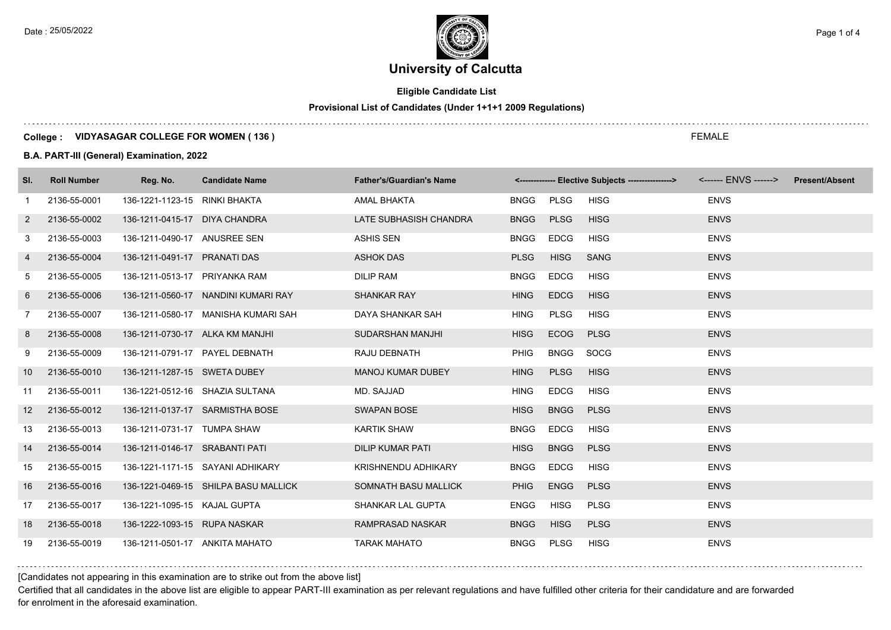Date : 25/05/2022 **Page 1 of 4**  $\leq$  Page 1 of 4

# **University of Calcutta**

# **Eligible Candidate List**

# **Provisional List of Candidates (Under 1+1+1 2009 Regulations)**

### **College : VIDYASAGAR COLLEGE FOR WOMEN ( 136 )**

#### **B.A. PART-III (General) Examination, 2022**

| SI.            | <b>Roll Number</b> | Reg. No.                       | <b>Candidate Name</b>                | <b>Father's/Guardian's Name</b> |             |             | <------------- Elective Subjects ----------------> <------ ENVS ------> |             | <b>Present/Absent</b> |
|----------------|--------------------|--------------------------------|--------------------------------------|---------------------------------|-------------|-------------|-------------------------------------------------------------------------|-------------|-----------------------|
| $\mathbf{1}$   | 2136-55-0001       | 136-1221-1123-15 RINKI BHAKTA  |                                      | AMAL BHAKTA                     | <b>BNGG</b> | PLSG        | <b>HISG</b>                                                             | <b>ENVS</b> |                       |
| $\overline{2}$ | 2136-55-0002       | 136-1211-0415-17 DIYA CHANDRA  |                                      | LATE SUBHASISH CHANDRA          | <b>BNGG</b> | <b>PLSG</b> | <b>HISG</b>                                                             | <b>ENVS</b> |                       |
| 3              | 2136-55-0003       | 136-1211-0490-17 ANUSREE SEN   |                                      | ASHIS SEN                       | <b>BNGG</b> | <b>EDCG</b> | <b>HISG</b>                                                             | <b>ENVS</b> |                       |
| 4              | 2136-55-0004       | 136-1211-0491-17 PRANATI DAS   |                                      | <b>ASHOK DAS</b>                | <b>PLSG</b> | <b>HISG</b> | <b>SANG</b>                                                             | <b>ENVS</b> |                       |
| 5              | 2136-55-0005       | 136-1211-0513-17 PRIYANKA RAM  |                                      | <b>DILIP RAM</b>                | <b>BNGG</b> | <b>EDCG</b> | <b>HISG</b>                                                             | <b>ENVS</b> |                       |
| 6              | 2136-55-0006       |                                | 136-1211-0560-17 NANDINI KUMARI RAY  | <b>SHANKAR RAY</b>              | <b>HING</b> | <b>EDCG</b> | <b>HISG</b>                                                             | <b>ENVS</b> |                       |
| $\overline{7}$ | 2136-55-0007       |                                | 136-1211-0580-17 MANISHA KUMARI SAH  | DAYA SHANKAR SAH                | <b>HING</b> | <b>PLSG</b> | <b>HISG</b>                                                             | <b>ENVS</b> |                       |
| 8              | 2136-55-0008       |                                | 136-1211-0730-17 ALKA KM MANJHI      | SUDARSHAN MANJHI                | <b>HISG</b> | <b>ECOG</b> | <b>PLSG</b>                                                             | <b>ENVS</b> |                       |
| 9              | 2136-55-0009       |                                | 136-1211-0791-17 PAYEL DEBNATH       | RAJU DEBNATH                    | <b>PHIG</b> | <b>BNGG</b> | SOCG                                                                    | <b>ENVS</b> |                       |
| 10             | 2136-55-0010       | 136-1211-1287-15 SWETA DUBEY   |                                      | <b>MANOJ KUMAR DUBEY</b>        | <b>HING</b> | <b>PLSG</b> | <b>HISG</b>                                                             | <b>ENVS</b> |                       |
| 11             | 2136-55-0011       |                                | 136-1221-0512-16 SHAZIA SULTANA      | MD. SAJJAD                      | <b>HING</b> | <b>EDCG</b> | <b>HISG</b>                                                             | <b>ENVS</b> |                       |
| 12             | 2136-55-0012       |                                | 136-1211-0137-17 SARMISTHA BOSE      | <b>SWAPAN BOSE</b>              | <b>HISG</b> | <b>BNGG</b> | <b>PLSG</b>                                                             | <b>ENVS</b> |                       |
| 13             | 2136-55-0013       | 136-1211-0731-17 TUMPA SHAW    |                                      | <b>KARTIK SHAW</b>              | <b>BNGG</b> | <b>EDCG</b> | <b>HISG</b>                                                             | <b>ENVS</b> |                       |
| 14             | 2136-55-0014       | 136-1211-0146-17 SRABANTI PATI |                                      | <b>DILIP KUMAR PATI</b>         | <b>HISG</b> | <b>BNGG</b> | <b>PLSG</b>                                                             | <b>ENVS</b> |                       |
| 15             | 2136-55-0015       |                                | 136-1221-1171-15 SAYANI ADHIKARY     | KRISHNENDU ADHIKARY             | <b>BNGG</b> | <b>EDCG</b> | <b>HISG</b>                                                             | <b>ENVS</b> |                       |
| 16             | 2136-55-0016       |                                | 136-1221-0469-15 SHILPA BASU MALLICK | SOMNATH BASU MALLICK            | <b>PHIG</b> | <b>ENGG</b> | <b>PLSG</b>                                                             | <b>ENVS</b> |                       |
| 17             | 2136-55-0017       | 136-1221-1095-15 KAJAL GUPTA   |                                      | SHANKAR LAL GUPTA               | <b>ENGG</b> | <b>HISG</b> | <b>PLSG</b>                                                             | <b>ENVS</b> |                       |
| 18             | 2136-55-0018       | 136-1222-1093-15 RUPA NASKAR   |                                      | RAMPRASAD NASKAR                | <b>BNGG</b> | <b>HISG</b> | <b>PLSG</b>                                                             | <b>ENVS</b> |                       |
| 19             | 2136-55-0019       | 136-1211-0501-17 ANKITA MAHATO |                                      | <b>TARAK MAHATO</b>             | <b>BNGG</b> | PLSG        | <b>HISG</b>                                                             | <b>ENVS</b> |                       |

## [Candidates not appearing in this examination are to strike out from the above list]

Certified that all candidates in the above list are eligible to appear PART-III examination as per relevant regulations and have fulfilled other criteria for their candidature and are forwarded for enrolment in the aforesaid examination.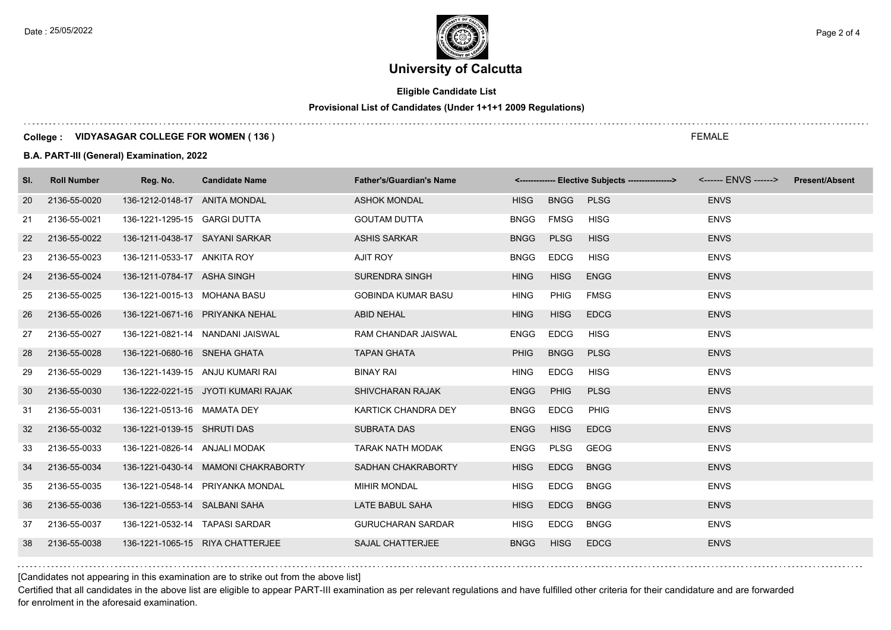$\ldots$  .

Date : 25/05/2022 **Page 2 of 4**  $\leq$  Page 2 of 4

# **University of Calcutta**

# **Eligible Candidate List**

#### **Provisional List of Candidates (Under 1+1+1 2009 Regulations)**

## **College : VIDYASAGAR COLLEGE FOR WOMEN ( 136 )**

#### **B.A. PART-III (General) Examination, 2022**

| SI. | <b>Roll Number</b> | Reg. No.                       | <b>Candidate Name</b>               | <b>Father's/Guardian's Name</b> |             |             | <-------------- Elective Subjects ----------------> |             | <b>Present/Absent</b> |
|-----|--------------------|--------------------------------|-------------------------------------|---------------------------------|-------------|-------------|-----------------------------------------------------|-------------|-----------------------|
| 20  | 2136-55-0020       | 136-1212-0148-17 ANITA MONDAL  |                                     | <b>ASHOK MONDAL</b>             | <b>HISG</b> | <b>BNGG</b> | <b>PLSG</b>                                         | <b>ENVS</b> |                       |
| 21  | 2136-55-0021       | 136-1221-1295-15 GARGI DUTTA   |                                     | <b>GOUTAM DUTTA</b>             | <b>BNGG</b> | <b>FMSG</b> | <b>HISG</b>                                         | <b>ENVS</b> |                       |
| 22  | 2136-55-0022       | 136-1211-0438-17 SAYANI SARKAR |                                     | <b>ASHIS SARKAR</b>             | <b>BNGG</b> | <b>PLSG</b> | <b>HISG</b>                                         | <b>ENVS</b> |                       |
| 23  | 2136-55-0023       | 136-1211-0533-17 ANKITA ROY    |                                     | AJIT ROY                        | <b>BNGG</b> | <b>EDCG</b> | <b>HISG</b>                                         | <b>ENVS</b> |                       |
| 24  | 2136-55-0024       | 136-1211-0784-17 ASHA SINGH    |                                     | <b>SURENDRA SINGH</b>           | <b>HING</b> | <b>HISG</b> | <b>ENGG</b>                                         | <b>ENVS</b> |                       |
| 25  | 2136-55-0025       | 136-1221-0015-13 MOHANA BASU   |                                     | <b>GOBINDA KUMAR BASU</b>       | <b>HING</b> | PHIG        | <b>FMSG</b>                                         | <b>ENVS</b> |                       |
| 26  | 2136-55-0026       |                                | 136-1221-0671-16 PRIYANKA NEHAL     | <b>ABID NEHAL</b>               | <b>HING</b> | <b>HISG</b> | <b>EDCG</b>                                         | <b>ENVS</b> |                       |
| 27  | 2136-55-0027       |                                | 136-1221-0821-14 NANDANI JAISWAL    | <b>RAM CHANDAR JAISWAL</b>      | <b>ENGG</b> | <b>EDCG</b> | <b>HISG</b>                                         | <b>ENVS</b> |                       |
| 28  | 2136-55-0028       | 136-1221-0680-16 SNEHA GHATA   |                                     | <b>TAPAN GHATA</b>              | <b>PHIG</b> | <b>BNGG</b> | <b>PLSG</b>                                         | <b>ENVS</b> |                       |
| 29  | 2136-55-0029       |                                | 136-1221-1439-15 ANJU KUMARI RAI    | <b>BINAY RAI</b>                | <b>HING</b> | <b>EDCG</b> | <b>HISG</b>                                         | <b>ENVS</b> |                       |
| 30  | 2136-55-0030       |                                | 136-1222-0221-15 JYOTI KUMARI RAJAK | <b>SHIVCHARAN RAJAK</b>         | <b>ENGG</b> | <b>PHIG</b> | <b>PLSG</b>                                         | <b>ENVS</b> |                       |
| 31  | 2136-55-0031       | 136-1221-0513-16 MAMATA DEY    |                                     | KARTICK CHANDRA DEY             | <b>BNGG</b> | <b>EDCG</b> | <b>PHIG</b>                                         | <b>ENVS</b> |                       |
| 32  | 2136-55-0032       | 136-1221-0139-15 SHRUTI DAS    |                                     | <b>SUBRATA DAS</b>              | <b>ENGG</b> | <b>HISG</b> | <b>EDCG</b>                                         | <b>ENVS</b> |                       |
| 33  | 2136-55-0033       | 136-1221-0826-14 ANJALI MODAK  |                                     | <b>TARAK NATH MODAK</b>         | <b>ENGG</b> | PLSG        | GEOG                                                | <b>ENVS</b> |                       |
| 34  | 2136-55-0034       |                                | 136-1221-0430-14 MAMONI CHAKRABORTY | <b>SADHAN CHAKRABORTY</b>       | <b>HISG</b> | <b>EDCG</b> | <b>BNGG</b>                                         | <b>ENVS</b> |                       |
| 35  | 2136-55-0035       |                                | 136-1221-0548-14 PRIYANKA MONDAL    | <b>MIHIR MONDAL</b>             | <b>HISG</b> | <b>EDCG</b> | <b>BNGG</b>                                         | <b>ENVS</b> |                       |
| 36  | 2136-55-0036       | 136-1221-0553-14 SALBANI SAHA  |                                     | LATE BABUL SAHA                 | <b>HISG</b> | <b>EDCG</b> | <b>BNGG</b>                                         | <b>ENVS</b> |                       |
| 37  | 2136-55-0037       | 136-1221-0532-14 TAPASI SARDAR |                                     | <b>GURUCHARAN SARDAR</b>        | <b>HISG</b> | <b>EDCG</b> | <b>BNGG</b>                                         | <b>ENVS</b> |                       |
| 38  | 2136-55-0038       |                                | 136-1221-1065-15 RIYA CHATTERJEE    | <b>SAJAL CHATTERJEE</b>         | <b>BNGG</b> | <b>HISG</b> | <b>EDCG</b>                                         | <b>ENVS</b> |                       |

[Candidates not appearing in this examination are to strike out from the above list]

Certified that all candidates in the above list are eligible to appear PART-III examination as per relevant regulations and have fulfilled other criteria for their candidature and are forwarded for enrolment in the aforesaid examination.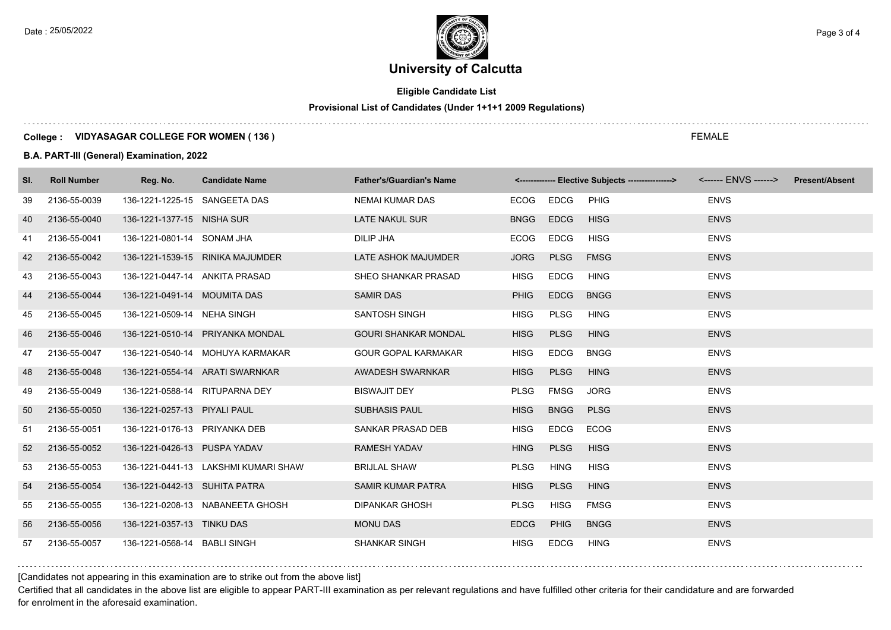Date : 25/05/2022 **Page 3 of 4**  $\leq$  Page 3 of 4

# **University of Calcutta**

# **Eligible Candidate List**

# **Provisional List of Candidates (Under 1+1+1 2009 Regulations)**

### **College : VIDYASAGAR COLLEGE FOR WOMEN ( 136 )**

#### **B.A. PART-III (General) Examination, 2022**

| SI. | <b>Roll Number</b> | Reg. No.                       | <b>Candidate Name</b>                | <b>Father's/Guardian's Name</b> |             |             | <-------------- Elective Subjects ----------------> | <------ ENVS ------> Present/Absent |  |
|-----|--------------------|--------------------------------|--------------------------------------|---------------------------------|-------------|-------------|-----------------------------------------------------|-------------------------------------|--|
| 39  | 2136-55-0039       | 136-1221-1225-15 SANGEETA DAS  |                                      | <b>NEMAI KUMAR DAS</b>          | ECOG        | EDCG        | <b>PHIG</b>                                         | <b>ENVS</b>                         |  |
| 40  | 2136-55-0040       | 136-1221-1377-15 NISHA SUR     |                                      | LATE NAKUL SUR                  | <b>BNGG</b> | <b>EDCG</b> | <b>HISG</b>                                         | <b>ENVS</b>                         |  |
| 41  | 2136-55-0041       | 136-1221-0801-14 SONAM JHA     |                                      | DILIP JHA                       | ECOG        | EDCG        | <b>HISG</b>                                         | <b>ENVS</b>                         |  |
| 42  | 2136-55-0042       |                                | 136-1221-1539-15 RINIKA MAJUMDER     | LATE ASHOK MAJUMDER             | <b>JORG</b> | <b>PLSG</b> | <b>FMSG</b>                                         | <b>ENVS</b>                         |  |
| 43  | 2136-55-0043       | 136-1221-0447-14 ANKITA PRASAD |                                      | SHEO SHANKAR PRASAD             | <b>HISG</b> | <b>EDCG</b> | <b>HING</b>                                         | <b>ENVS</b>                         |  |
| 44  | 2136-55-0044       | 136-1221-0491-14 MOUMITA DAS   |                                      | <b>SAMIR DAS</b>                | <b>PHIG</b> | <b>EDCG</b> | <b>BNGG</b>                                         | <b>ENVS</b>                         |  |
| 45  | 2136-55-0045       | 136-1221-0509-14 NEHA SINGH    |                                      | SANTOSH SINGH                   | <b>HISG</b> | <b>PLSG</b> | <b>HING</b>                                         | <b>ENVS</b>                         |  |
| 46  | 2136-55-0046       |                                | 136-1221-0510-14 PRIYANKA MONDAL     | <b>GOURI SHANKAR MONDAL</b>     | <b>HISG</b> | <b>PLSG</b> | <b>HING</b>                                         | <b>ENVS</b>                         |  |
| 47  | 2136-55-0047       |                                | 136-1221-0540-14 MOHUYA KARMAKAR     | <b>GOUR GOPAL KARMAKAR</b>      | <b>HISG</b> | <b>EDCG</b> | <b>BNGG</b>                                         | <b>ENVS</b>                         |  |
| 48  | 2136-55-0048       |                                | 136-1221-0554-14 ARATI SWARNKAR      | AWADESH SWARNKAR                | <b>HISG</b> | <b>PLSG</b> | <b>HING</b>                                         | <b>ENVS</b>                         |  |
| 49  | 2136-55-0049       | 136-1221-0588-14 RITUPARNA DEY |                                      | <b>BISWAJIT DEY</b>             | <b>PLSG</b> | FMSG        | <b>JORG</b>                                         | <b>ENVS</b>                         |  |
| 50  | 2136-55-0050       | 136-1221-0257-13 PIYALI PAUL   |                                      | <b>SUBHASIS PAUL</b>            | <b>HISG</b> | <b>BNGG</b> | <b>PLSG</b>                                         | <b>ENVS</b>                         |  |
| 51  | 2136-55-0051       | 136-1221-0176-13 PRIYANKA DEB  |                                      | SANKAR PRASAD DEB               | <b>HISG</b> | EDCG        | <b>ECOG</b>                                         | <b>ENVS</b>                         |  |
| 52  | 2136-55-0052       | 136-1221-0426-13 PUSPA YADAV   |                                      | <b>RAMESH YADAV</b>             | <b>HING</b> | <b>PLSG</b> | <b>HISG</b>                                         | <b>ENVS</b>                         |  |
| 53  | 2136-55-0053       |                                | 136-1221-0441-13 LAKSHMI KUMARI SHAW | <b>BRIJLAL SHAW</b>             | <b>PLSG</b> | <b>HING</b> | <b>HISG</b>                                         | <b>ENVS</b>                         |  |
| 54  | 2136-55-0054       | 136-1221-0442-13 SUHITA PATRA  |                                      | <b>SAMIR KUMAR PATRA</b>        | <b>HISG</b> | <b>PLSG</b> | <b>HING</b>                                         | <b>ENVS</b>                         |  |
| 55  | 2136-55-0055       |                                | 136-1221-0208-13 NABANEETA GHOSH     | <b>DIPANKAR GHOSH</b>           | <b>PLSG</b> | <b>HISG</b> | <b>FMSG</b>                                         | <b>ENVS</b>                         |  |
| 56  | 2136-55-0056       | 136-1221-0357-13 TINKU DAS     |                                      | <b>MONU DAS</b>                 | <b>EDCG</b> | <b>PHIG</b> | <b>BNGG</b>                                         | <b>ENVS</b>                         |  |
| 57  | 2136-55-0057       | 136-1221-0568-14 BABLI SINGH   |                                      | <b>SHANKAR SINGH</b>            | <b>HISG</b> | <b>EDCG</b> | <b>HING</b>                                         | <b>ENVS</b>                         |  |

## [Candidates not appearing in this examination are to strike out from the above list]

Certified that all candidates in the above list are eligible to appear PART-III examination as per relevant regulations and have fulfilled other criteria for their candidature and are forwarded for enrolment in the aforesaid examination.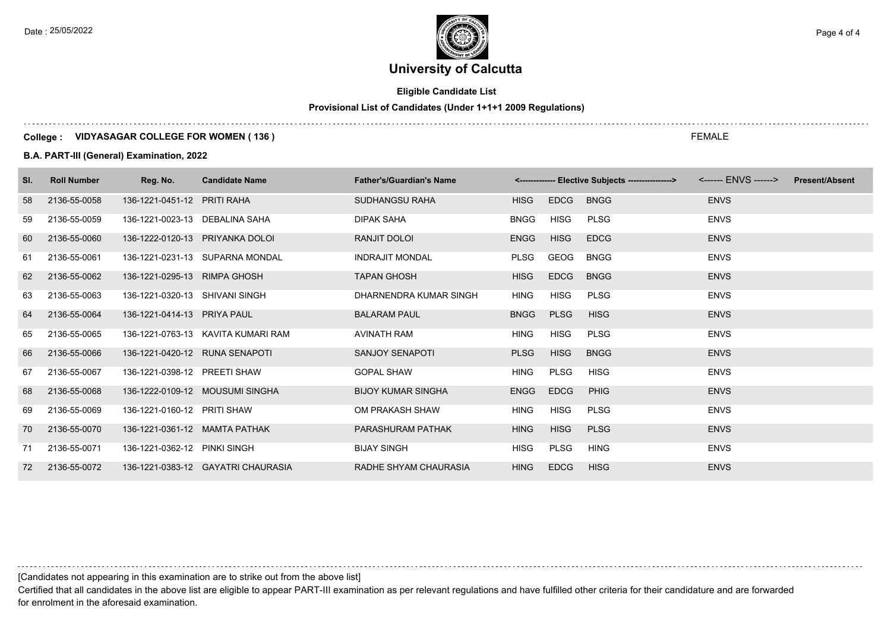Date : 25/05/2022 **Page 4 of 4**  $\sim$  Page 4 of 4

# **University of Calcutta**

# **Eligible Candidate List**

# **Provisional List of Candidates (Under 1+1+1 2009 Regulations)**

### **College : VIDYASAGAR COLLEGE FOR WOMEN ( 136 )**

#### **B.A. PART-III (General) Examination, 2022**

| SI. | <b>Roll Number</b> | Reg. No.                        | <b>Candidate Name</b>              | <b>Father's/Guardian's Name</b> |             |             | <-------------- Elective Subjects ----------------> <------ ENVS ------> |             | <b>Present/Absent</b> |
|-----|--------------------|---------------------------------|------------------------------------|---------------------------------|-------------|-------------|--------------------------------------------------------------------------|-------------|-----------------------|
| 58  | 2136-55-0058       | 136-1221-0451-12 PRITI RAHA     |                                    | SUDHANGSU RAHA                  | <b>HISG</b> | <b>EDCG</b> | <b>BNGG</b>                                                              | <b>ENVS</b> |                       |
| 59  | 2136-55-0059       | 136-1221-0023-13 DEBALINA SAHA  |                                    | <b>DIPAK SAHA</b>               | <b>BNGG</b> | HISG        | PLSG                                                                     | <b>ENVS</b> |                       |
| 60  | 2136-55-0060       | 136-1222-0120-13 PRIYANKA DOLOI |                                    | RANJIT DOLOI                    | <b>ENGG</b> | <b>HISG</b> | <b>EDCG</b>                                                              | <b>ENVS</b> |                       |
| 61  | 2136-55-0061       |                                 | 136-1221-0231-13 SUPARNA MONDAL    | <b>INDRAJIT MONDAL</b>          | <b>PLSG</b> | GEOG        | <b>BNGG</b>                                                              | <b>ENVS</b> |                       |
| 62  | 2136-55-0062       | 136-1221-0295-13 RIMPA GHOSH    |                                    | <b>TAPAN GHOSH</b>              | <b>HISG</b> | <b>EDCG</b> | <b>BNGG</b>                                                              | <b>ENVS</b> |                       |
| 63  | 2136-55-0063       | 136-1221-0320-13 SHIVANI SINGH  |                                    | DHARNENDRA KUMAR SINGH          | <b>HING</b> | HISG        | <b>PLSG</b>                                                              | <b>ENVS</b> |                       |
| 64  | 2136-55-0064       | 136-1221-0414-13 PRIYA PAUL     |                                    | <b>BALARAM PAUL</b>             | <b>BNGG</b> | <b>PLSG</b> | <b>HISG</b>                                                              | <b>ENVS</b> |                       |
| 65  | 2136-55-0065       |                                 | 136-1221-0763-13 KAVITA KUMARI RAM | AVINATH RAM                     | <b>HING</b> | HISG        | <b>PLSG</b>                                                              | <b>ENVS</b> |                       |
| 66  | 2136-55-0066       | 136-1221-0420-12 RUNA SENAPOTI  |                                    | <b>SANJOY SENAPOTI</b>          | <b>PLSG</b> | <b>HISG</b> | <b>BNGG</b>                                                              | <b>ENVS</b> |                       |
| 67  | 2136-55-0067       | 136-1221-0398-12 PREETI SHAW    |                                    | <b>GOPAL SHAW</b>               | <b>HING</b> | <b>PLSG</b> | <b>HISG</b>                                                              | <b>ENVS</b> |                       |
| 68  | 2136-55-0068       |                                 | 136-1222-0109-12 MOUSUMI SINGHA    | <b>BIJOY KUMAR SINGHA</b>       | <b>ENGG</b> | <b>EDCG</b> | PHIG                                                                     | <b>ENVS</b> |                       |
| 69  | 2136-55-0069       | 136-1221-0160-12 PRITI SHAW     |                                    | OM PRAKASH SHAW                 | <b>HING</b> | <b>HISG</b> | <b>PLSG</b>                                                              | <b>ENVS</b> |                       |
| 70  | 2136-55-0070       | 136-1221-0361-12 MAMTA PATHAK   |                                    | PARASHURAM PATHAK               | <b>HING</b> | <b>HISG</b> | <b>PLSG</b>                                                              | <b>ENVS</b> |                       |
| 71  | 2136-55-0071       | 136-1221-0362-12 PINKI SINGH    |                                    | <b>BIJAY SINGH</b>              | <b>HISG</b> | PLSG        | <b>HING</b>                                                              | <b>ENVS</b> |                       |
|     | 72 2136-55-0072    |                                 | 136-1221-0383-12 GAYATRI CHAURASIA | RADHE SHYAM CHAURASIA           | <b>HING</b> | <b>EDCG</b> | <b>HISG</b>                                                              | <b>ENVS</b> |                       |

[Candidates not appearing in this examination are to strike out from the above list]

Certified that all candidates in the above list are eligible to appear PART-III examination as per relevant regulations and have fulfilled other criteria for their candidature and are forwarded for enrolment in the aforesaid examination.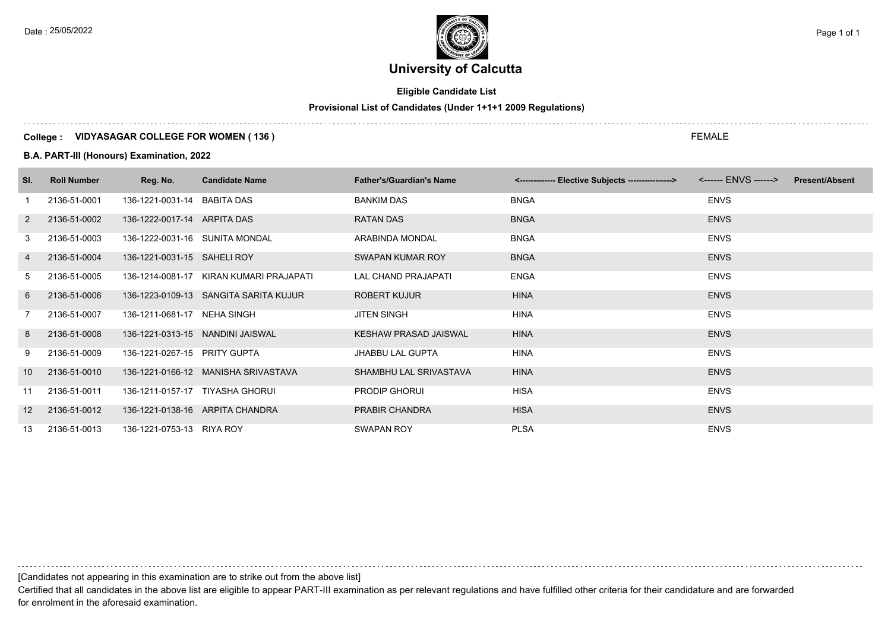# **University of Calcutta**

# **Eligible Candidate List**

# **Provisional List of Candidates (Under 1+1+1 2009 Regulations)**

### **College : VIDYASAGAR COLLEGE FOR WOMEN ( 136 )**

#### **B.A. PART-III (Honours) Examination, 2022**

| SI.             | <b>Roll Number</b> | Reg. No.                        | <b>Candidate Name</b>                   | <b>Father's/Guardian's Name</b> | <------------- Elective Subjects ----------------> | <b>Present/Absent</b> |
|-----------------|--------------------|---------------------------------|-----------------------------------------|---------------------------------|----------------------------------------------------|-----------------------|
|                 | 2136-51-0001       | 136-1221-0031-14 BABITA DAS     |                                         | <b>BANKIM DAS</b>               | <b>BNGA</b>                                        | <b>ENVS</b>           |
| $\overline{2}$  | 2136-51-0002       | 136-1222-0017-14 ARPITA DAS     |                                         | RATAN DAS                       | <b>BNGA</b>                                        | <b>ENVS</b>           |
| 3               | 2136-51-0003       | 136-1222-0031-16 SUNITA MONDAL  |                                         | ARABINDA MONDAL                 | <b>BNGA</b>                                        | <b>ENVS</b>           |
| 4               | 2136-51-0004       | 136-1221-0031-15 SAHELI ROY     |                                         | SWAPAN KUMAR ROY                | <b>BNGA</b>                                        | <b>ENVS</b>           |
| 5               | 2136-51-0005       |                                 | 136-1214-0081-17 KIRAN KUMARI PRAJAPATI | LAL CHAND PRAJAPATI             | <b>ENGA</b>                                        | <b>ENVS</b>           |
| 6               | 2136-51-0006       |                                 | 136-1223-0109-13 SANGITA SARITA KUJUR   | ROBERT KUJUR                    | <b>HINA</b>                                        | <b>ENVS</b>           |
| $\overline{7}$  | 2136-51-0007       | 136-1211-0681-17 NEHA SINGH     |                                         | <b>JITEN SINGH</b>              | HINA                                               | <b>ENVS</b>           |
| 8               | 2136-51-0008       |                                 | 136-1221-0313-15 NANDINI JAISWAL        | KESHAW PRASAD JAISWAL           | <b>HINA</b>                                        | <b>ENVS</b>           |
| 9               | 2136-51-0009       | 136-1221-0267-15 PRITY GUPTA    |                                         | <b>JHABBU LAL GUPTA</b>         | HINA                                               | <b>ENVS</b>           |
| 10 <sup>1</sup> | 2136-51-0010       |                                 | 136-1221-0166-12 MANISHA SRIVASTAVA     | SHAMBHU LAL SRIVASTAVA          | <b>HINA</b>                                        | <b>ENVS</b>           |
| 11              | 2136-51-0011       | 136-1211-0157-17 TIYASHA GHORUI |                                         | <b>PRODIP GHORUI</b>            | <b>HISA</b>                                        | <b>ENVS</b>           |
| 12              | 2136-51-0012       |                                 | 136-1221-0138-16 ARPITA CHANDRA         | PRABIR CHANDRA                  | <b>HISA</b>                                        | <b>ENVS</b>           |
| 13              | 2136-51-0013       | 136-1221-0753-13 RIYA ROY       |                                         | <b>SWAPAN ROY</b>               | <b>PLSA</b>                                        | <b>ENVS</b>           |

[Candidates not appearing in this examination are to strike out from the above list]

Certified that all candidates in the above list are eligible to appear PART-III examination as per relevant regulations and have fulfilled other criteria for their candidature and are forwarded for enrolment in the aforesaid examination.